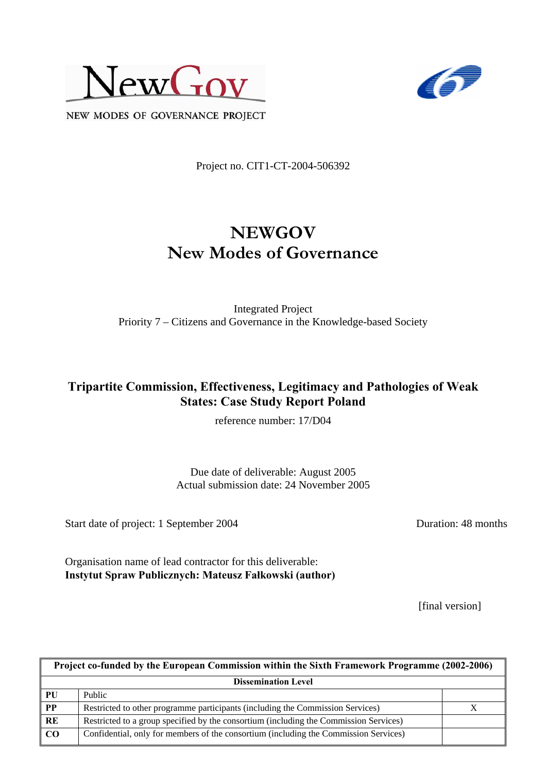



NEW MODES OF GOVERNANCE PROJECT

Project no. CIT1-CT-2004-506392

# **NEWGOV New Modes of Governance**

Integrated Project Priority 7 – Citizens and Governance in the Knowledge-based Society

### **Tripartite Commission, Effectiveness, Legitimacy and Pathologies of Weak States: Case Study Report Poland**

reference number: 17/D04

Due date of deliverable: August 2005 Actual submission date: 24 November 2005

Start date of project: 1 September 2004 Duration: 48 months

Organisation name of lead contractor for this deliverable: **Instytut Spraw Publicznych: Mateusz Fałkowski (author)** 

[final version]

| Project co-funded by the European Commission within the Sixth Framework Programme (2002-2006) |                                                                                       |  |  |
|-----------------------------------------------------------------------------------------------|---------------------------------------------------------------------------------------|--|--|
| <b>Dissemination Level</b>                                                                    |                                                                                       |  |  |
| PU                                                                                            | Public                                                                                |  |  |
| $\overline{PP}$                                                                               | Restricted to other programme participants (including the Commission Services)        |  |  |
| RE                                                                                            | Restricted to a group specified by the consortium (including the Commission Services) |  |  |
| CO                                                                                            | Confidential, only for members of the consortium (including the Commission Services)  |  |  |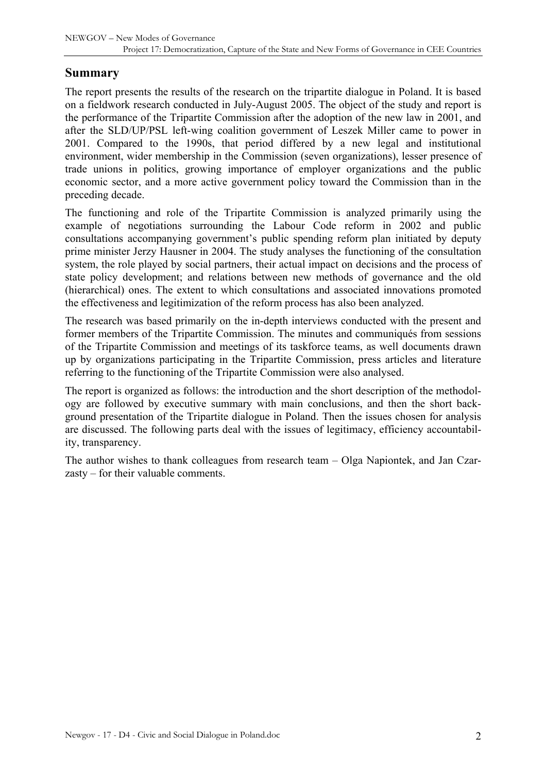### **Summary**

The report presents the results of the research on the tripartite dialogue in Poland. It is based on a fieldwork research conducted in July-August 2005. The object of the study and report is the performance of the Tripartite Commission after the adoption of the new law in 2001, and after the SLD/UP/PSL left-wing coalition government of Leszek Miller came to power in 2001. Compared to the 1990s, that period differed by a new legal and institutional environment, wider membership in the Commission (seven organizations), lesser presence of trade unions in politics, growing importance of employer organizations and the public economic sector, and a more active government policy toward the Commission than in the preceding decade.

The functioning and role of the Tripartite Commission is analyzed primarily using the example of negotiations surrounding the Labour Code reform in 2002 and public consultations accompanying government's public spending reform plan initiated by deputy prime minister Jerzy Hausner in 2004. The study analyses the functioning of the consultation system, the role played by social partners, their actual impact on decisions and the process of state policy development; and relations between new methods of governance and the old (hierarchical) ones. The extent to which consultations and associated innovations promoted the effectiveness and legitimization of the reform process has also been analyzed.

The research was based primarily on the in-depth interviews conducted with the present and former members of the Tripartite Commission. The minutes and communiqués from sessions of the Tripartite Commission and meetings of its taskforce teams, as well documents drawn up by organizations participating in the Tripartite Commission, press articles and literature referring to the functioning of the Tripartite Commission were also analysed.

The report is organized as follows: the introduction and the short description of the methodology are followed by executive summary with main conclusions, and then the short background presentation of the Tripartite dialogue in Poland. Then the issues chosen for analysis are discussed. The following parts deal with the issues of legitimacy, efficiency accountability, transparency.

The author wishes to thank colleagues from research team – Olga Napiontek, and Jan Czarzasty – for their valuable comments.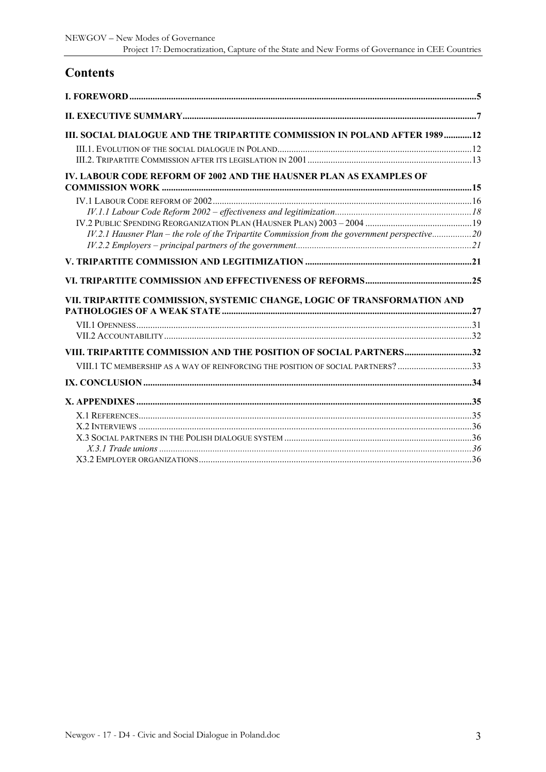# **Contents**

| III. SOCIAL DIALOGUE AND THE TRIPARTITE COMMISSION IN POLAND AFTER 198912                     |  |
|-----------------------------------------------------------------------------------------------|--|
|                                                                                               |  |
|                                                                                               |  |
| IV. LABOUR CODE REFORM OF 2002 AND THE HAUSNER PLAN AS EXAMPLES OF                            |  |
|                                                                                               |  |
|                                                                                               |  |
|                                                                                               |  |
| IV.2.1 Hausner Plan - the role of the Tripartite Commission from the government perspective20 |  |
|                                                                                               |  |
|                                                                                               |  |
|                                                                                               |  |
|                                                                                               |  |
| VII. TRIPARTITE COMMISSION, SYSTEMIC CHANGE, LOGIC OF TRANSFORMATION AND                      |  |
|                                                                                               |  |
|                                                                                               |  |
|                                                                                               |  |
| VIII. TRIPARTITE COMMISSION AND THE POSITION OF SOCIAL PARTNERS32                             |  |
| VIII.1 TC MEMBERSHIP AS A WAY OF REINFORCING THE POSITION OF SOCIAL PARTNERS? 33              |  |
|                                                                                               |  |
|                                                                                               |  |
|                                                                                               |  |
|                                                                                               |  |
|                                                                                               |  |
|                                                                                               |  |
|                                                                                               |  |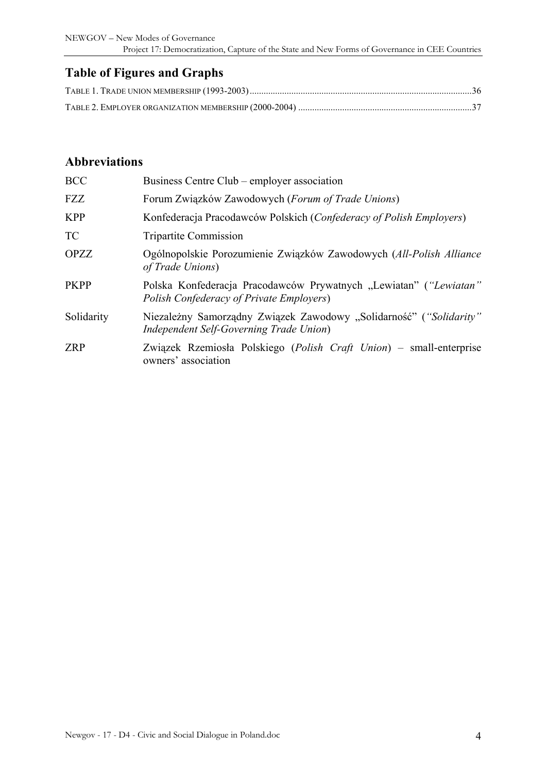NEWGOV – New Modes of Governance Project 17: Democratization, Capture of the State and New Forms of Governance in CEE Countries

## **Table of Figures and Graphs**

### **Abbreviations**

| <b>BCC</b>  | Business Centre Club – employer association                                                                          |
|-------------|----------------------------------------------------------------------------------------------------------------------|
| <b>FZZ</b>  | Forum Związków Zawodowych (Forum of Trade Unions)                                                                    |
| <b>KPP</b>  | Konfederacja Pracodawców Polskich (Confederacy of Polish Employers)                                                  |
| <b>TC</b>   | <b>Tripartite Commission</b>                                                                                         |
| <b>OPZZ</b> | Ogólnopolskie Porozumienie Związków Zawodowych (All-Polish Alliance<br>of Trade Unions)                              |
| <b>PKPP</b> | Polska Konfederacja Pracodawców Prywatnych "Lewiatan" ("Lewiatan"<br><b>Polish Confederacy of Private Employers)</b> |
| Solidarity  | Niezależny Samorządny Związek Zawodowy "Solidarność" ("Solidarity"<br>Independent Self-Governing Trade Union)        |
| <b>ZRP</b>  | Związek Rzemiosła Polskiego (Polish Craft Union) – small-enterprise<br>owners' association                           |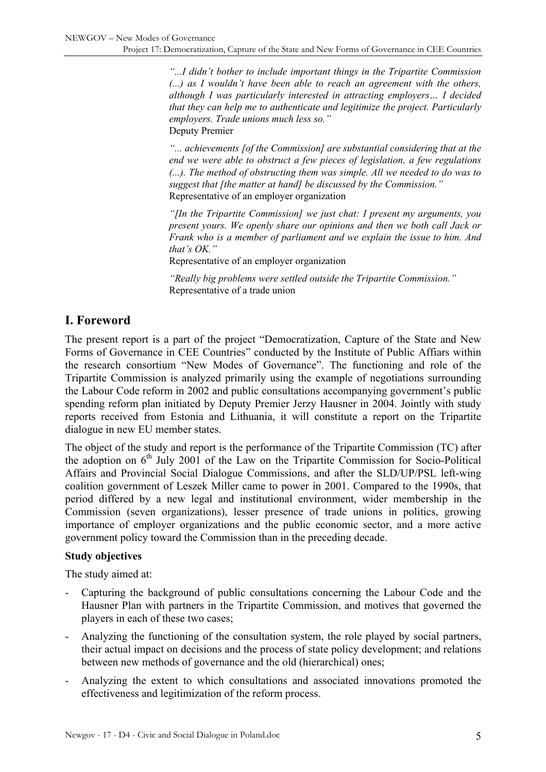<span id="page-4-0"></span>*"...I didn't bother to include important things in the Tripartite Commission (...) as I wouldn't have been able to reach an agreement with the others, although I was particularly interested in attracting employers… I decided that they can help me to authenticate and legitimize the project. Particularly employers. Trade unions much less so."*  Deputy Premier

*"... achievements [of the Commission] are substantial considering that at the end we were able to obstruct a few pieces of legislation, a few regulations (...). The method of obstructing them was simple. All we needed to do was to suggest that [the matter at hand] be discussed by the Commission."*  Representative of an employer organization

*"[In the Tripartite Commission] we just chat: I present my arguments, you present yours. We openly share our opinions and then we both call Jack or Frank who is a member of parliament and we explain the issue to him. And that's OK."* 

Representative of an employer organization

*"Really big problems were settled outside the Tripartite Commission."*  Representative of a trade union

### **I. Foreword**

The present report is a part of the project "Democratization, Capture of the State and New Forms of Governance in CEE Countries" conducted by the Institute of Public Affiars within the research consortium "New Modes of Governance". The functioning and role of the Tripartite Commission is analyzed primarily using the example of negotiations surrounding the Labour Code reform in 2002 and public consultations accompanying government's public spending reform plan initiated by Deputy Premier Jerzy Hausner in 2004. Jointly with study reports received from Estonia and Lithuania, it will constitute a report on the Tripartite dialogue in new EU member states.

The object of the study and report is the performance of the Tripartite Commission (TC) after the adoption on  $6<sup>th</sup>$  July 2001 of the Law on the Tripartite Commission for Socio-Political Affairs and Provincial Social Dialogue Commissions, and after the SLD/UP/PSL left-wing coalition government of Leszek Miller came to power in 2001. Compared to the 1990s, that period differed by a new legal and institutional environment, wider membership in the Commission (seven organizations), lesser presence of trade unions in politics, growing importance of employer organizations and the public economic sector, and a more active government policy toward the Commission than in the preceding decade.

#### **Study objectives**

The study aimed at:

- Capturing the background of public consultations concerning the Labour Code and the Hausner Plan with partners in the Tripartite Commission, and motives that governed the players in each of these two cases;
- Analyzing the functioning of the consultation system, the role played by social partners, their actual impact on decisions and the process of state policy development; and relations between new methods of governance and the old (hierarchical) ones;
- Analyzing the extent to which consultations and associated innovations promoted the effectiveness and legitimization of the reform process.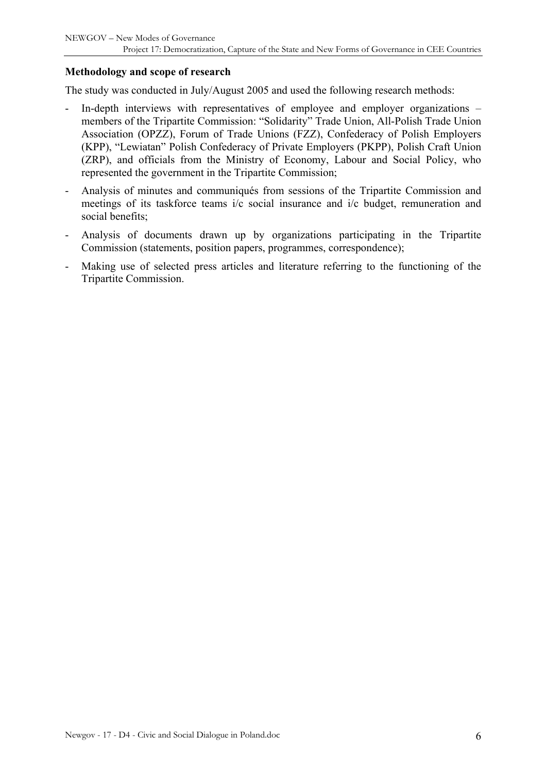#### **Methodology and scope of research**

The study was conducted in July/August 2005 and used the following research methods:

- In-depth interviews with representatives of employee and employer organizations members of the Tripartite Commission: "Solidarity" Trade Union, All-Polish Trade Union Association (OPZZ), Forum of Trade Unions (FZZ), Confederacy of Polish Employers (KPP), "Lewiatan" Polish Confederacy of Private Employers (PKPP), Polish Craft Union (ZRP), and officials from the Ministry of Economy, Labour and Social Policy, who represented the government in the Tripartite Commission;
- Analysis of minutes and communiqués from sessions of the Tripartite Commission and meetings of its taskforce teams i/c social insurance and i/c budget, remuneration and social benefits;
- Analysis of documents drawn up by organizations participating in the Tripartite Commission (statements, position papers, programmes, correspondence);
- Making use of selected press articles and literature referring to the functioning of the Tripartite Commission.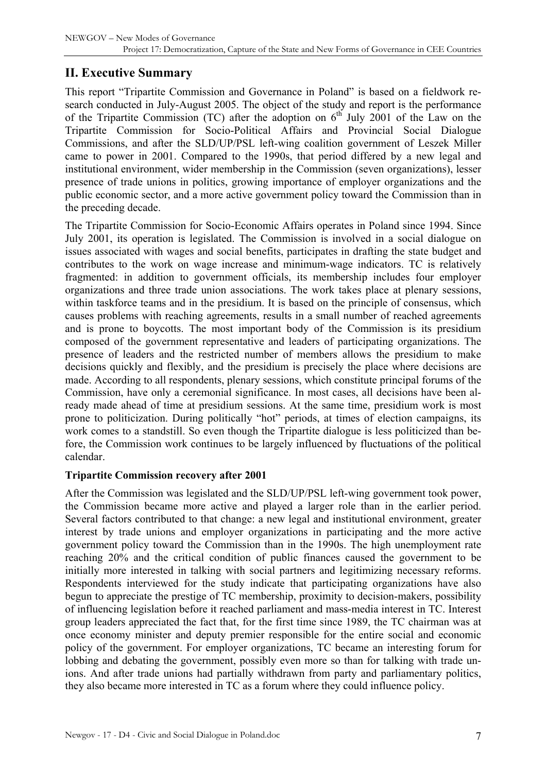# <span id="page-6-0"></span>**II. Executive Summary**

This report "Tripartite Commission and Governance in Poland" is based on a fieldwork research conducted in July-August 2005. The object of the study and report is the performance of the Tripartite Commission (TC) after the adoption on  $6<sup>th</sup>$  July 2001 of the Law on the Tripartite Commission for Socio-Political Affairs and Provincial Social Dialogue Commissions, and after the SLD/UP/PSL left-wing coalition government of Leszek Miller came to power in 2001. Compared to the 1990s, that period differed by a new legal and institutional environment, wider membership in the Commission (seven organizations), lesser presence of trade unions in politics, growing importance of employer organizations and the public economic sector, and a more active government policy toward the Commission than in the preceding decade.

The Tripartite Commission for Socio-Economic Affairs operates in Poland since 1994. Since July 2001, its operation is legislated. The Commission is involved in a social dialogue on issues associated with wages and social benefits, participates in drafting the state budget and contributes to the work on wage increase and minimum-wage indicators. TC is relatively fragmented: in addition to government officials, its membership includes four employer organizations and three trade union associations. The work takes place at plenary sessions, within taskforce teams and in the presidium. It is based on the principle of consensus, which causes problems with reaching agreements, results in a small number of reached agreements and is prone to boycotts. The most important body of the Commission is its presidium composed of the government representative and leaders of participating organizations. The presence of leaders and the restricted number of members allows the presidium to make decisions quickly and flexibly, and the presidium is precisely the place where decisions are made. According to all respondents, plenary sessions, which constitute principal forums of the Commission, have only a ceremonial significance. In most cases, all decisions have been already made ahead of time at presidium sessions. At the same time, presidium work is most prone to politicization. During politically "hot" periods, at times of election campaigns, its work comes to a standstill. So even though the Tripartite dialogue is less politicized than before, the Commission work continues to be largely influenced by fluctuations of the political calendar.

#### **Tripartite Commission recovery after 2001**

After the Commission was legislated and the SLD/UP/PSL left-wing government took power, the Commission became more active and played a larger role than in the earlier period. Several factors contributed to that change: a new legal and institutional environment, greater interest by trade unions and employer organizations in participating and the more active government policy toward the Commission than in the 1990s. The high unemployment rate reaching 20% and the critical condition of public finances caused the government to be initially more interested in talking with social partners and legitimizing necessary reforms. Respondents interviewed for the study indicate that participating organizations have also begun to appreciate the prestige of TC membership, proximity to decision-makers, possibility of influencing legislation before it reached parliament and mass-media interest in TC. Interest group leaders appreciated the fact that, for the first time since 1989, the TC chairman was at once economy minister and deputy premier responsible for the entire social and economic policy of the government. For employer organizations, TC became an interesting forum for lobbing and debating the government, possibly even more so than for talking with trade unions. And after trade unions had partially withdrawn from party and parliamentary politics, they also became more interested in TC as a forum where they could influence policy.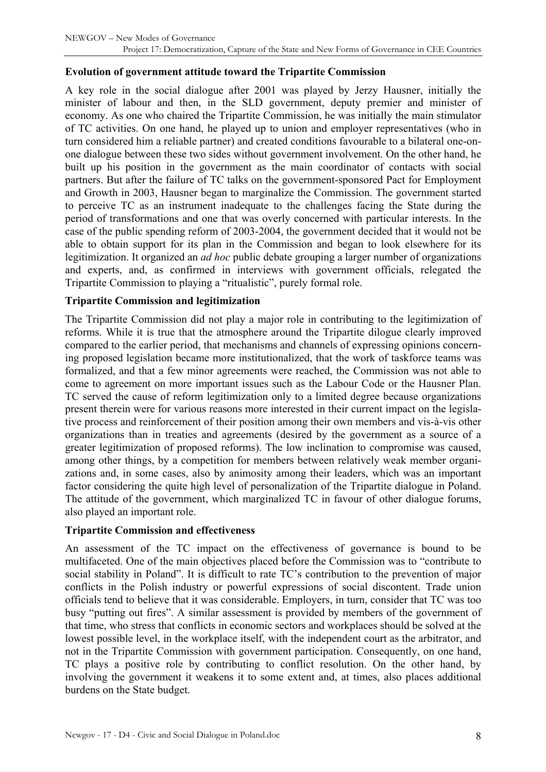#### **Evolution of government attitude toward the Tripartite Commission**

A key role in the social dialogue after 2001 was played by Jerzy Hausner, initially the minister of labour and then, in the SLD government, deputy premier and minister of economy. As one who chaired the Tripartite Commission, he was initially the main stimulator of TC activities. On one hand, he played up to union and employer representatives (who in turn considered him a reliable partner) and created conditions favourable to a bilateral one-onone dialogue between these two sides without government involvement. On the other hand, he built up his position in the government as the main coordinator of contacts with social partners. But after the failure of TC talks on the government-sponsored Pact for Employment and Growth in 2003, Hausner began to marginalize the Commission. The government started to perceive TC as an instrument inadequate to the challenges facing the State during the period of transformations and one that was overly concerned with particular interests. In the case of the public spending reform of 2003-2004, the government decided that it would not be able to obtain support for its plan in the Commission and began to look elsewhere for its legitimization. It organized an *ad hoc* public debate grouping a larger number of organizations and experts, and, as confirmed in interviews with government officials, relegated the Tripartite Commission to playing a "ritualistic", purely formal role.

#### **Tripartite Commission and legitimization**

The Tripartite Commission did not play a major role in contributing to the legitimization of reforms. While it is true that the atmosphere around the Tripartite dilogue clearly improved compared to the earlier period, that mechanisms and channels of expressing opinions concerning proposed legislation became more institutionalized, that the work of taskforce teams was formalized, and that a few minor agreements were reached, the Commission was not able to come to agreement on more important issues such as the Labour Code or the Hausner Plan. TC served the cause of reform legitimization only to a limited degree because organizations present therein were for various reasons more interested in their current impact on the legislative process and reinforcement of their position among their own members and vis-à-vis other organizations than in treaties and agreements (desired by the government as a source of a greater legitimization of proposed reforms). The low inclination to compromise was caused, among other things, by a competition for members between relatively weak member organizations and, in some cases, also by animosity among their leaders, which was an important factor considering the quite high level of personalization of the Tripartite dialogue in Poland. The attitude of the government, which marginalized TC in favour of other dialogue forums, also played an important role.

#### **Tripartite Commission and effectiveness**

An assessment of the TC impact on the effectiveness of governance is bound to be multifaceted. One of the main objectives placed before the Commission was to "contribute to social stability in Poland". It is difficult to rate TC's contribution to the prevention of major conflicts in the Polish industry or powerful expressions of social discontent. Trade union officials tend to believe that it was considerable. Employers, in turn, consider that TC was too busy "putting out fires". A similar assessment is provided by members of the government of that time, who stress that conflicts in economic sectors and workplaces should be solved at the lowest possible level, in the workplace itself, with the independent court as the arbitrator, and not in the Tripartite Commission with government participation. Consequently, on one hand, TC plays a positive role by contributing to conflict resolution. On the other hand, by involving the government it weakens it to some extent and, at times, also places additional burdens on the State budget.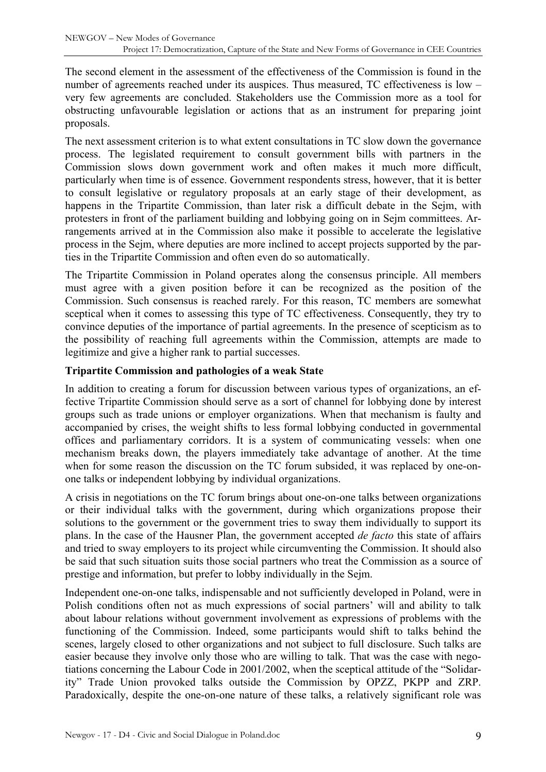The second element in the assessment of the effectiveness of the Commission is found in the number of agreements reached under its auspices. Thus measured, TC effectiveness is low – very few agreements are concluded. Stakeholders use the Commission more as a tool for obstructing unfavourable legislation or actions that as an instrument for preparing joint proposals.

The next assessment criterion is to what extent consultations in TC slow down the governance process. The legislated requirement to consult government bills with partners in the Commission slows down government work and often makes it much more difficult, particularly when time is of essence. Government respondents stress, however, that it is better to consult legislative or regulatory proposals at an early stage of their development, as happens in the Tripartite Commission, than later risk a difficult debate in the Sejm, with protesters in front of the parliament building and lobbying going on in Sejm committees. Arrangements arrived at in the Commission also make it possible to accelerate the legislative process in the Sejm, where deputies are more inclined to accept projects supported by the parties in the Tripartite Commission and often even do so automatically.

The Tripartite Commission in Poland operates along the consensus principle. All members must agree with a given position before it can be recognized as the position of the Commission. Such consensus is reached rarely. For this reason, TC members are somewhat sceptical when it comes to assessing this type of TC effectiveness. Consequently, they try to convince deputies of the importance of partial agreements. In the presence of scepticism as to the possibility of reaching full agreements within the Commission, attempts are made to legitimize and give a higher rank to partial successes.

#### **Tripartite Commission and pathologies of a weak State**

In addition to creating a forum for discussion between various types of organizations, an effective Tripartite Commission should serve as a sort of channel for lobbying done by interest groups such as trade unions or employer organizations. When that mechanism is faulty and accompanied by crises, the weight shifts to less formal lobbying conducted in governmental offices and parliamentary corridors. It is a system of communicating vessels: when one mechanism breaks down, the players immediately take advantage of another. At the time when for some reason the discussion on the TC forum subsided, it was replaced by one-onone talks or independent lobbying by individual organizations.

A crisis in negotiations on the TC forum brings about one-on-one talks between organizations or their individual talks with the government, during which organizations propose their solutions to the government or the government tries to sway them individually to support its plans. In the case of the Hausner Plan, the government accepted *de facto* this state of affairs and tried to sway employers to its project while circumventing the Commission. It should also be said that such situation suits those social partners who treat the Commission as a source of prestige and information, but prefer to lobby individually in the Sejm.

Independent one-on-one talks, indispensable and not sufficiently developed in Poland, were in Polish conditions often not as much expressions of social partners' will and ability to talk about labour relations without government involvement as expressions of problems with the functioning of the Commission. Indeed, some participants would shift to talks behind the scenes, largely closed to other organizations and not subject to full disclosure. Such talks are easier because they involve only those who are willing to talk. That was the case with negotiations concerning the Labour Code in 2001/2002, when the sceptical attitude of the "Solidarity" Trade Union provoked talks outside the Commission by OPZZ, PKPP and ZRP. Paradoxically, despite the one-on-one nature of these talks, a relatively significant role was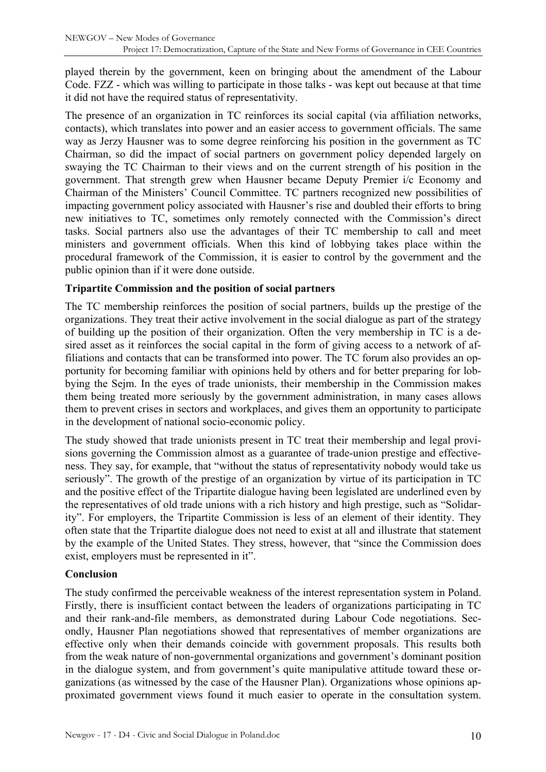played therein by the government, keen on bringing about the amendment of the Labour Code. FZZ - which was willing to participate in those talks - was kept out because at that time it did not have the required status of representativity.

The presence of an organization in TC reinforces its social capital (via affiliation networks, contacts), which translates into power and an easier access to government officials. The same way as Jerzy Hausner was to some degree reinforcing his position in the government as TC Chairman, so did the impact of social partners on government policy depended largely on swaying the TC Chairman to their views and on the current strength of his position in the government. That strength grew when Hausner became Deputy Premier i/c Economy and Chairman of the Ministers' Council Committee. TC partners recognized new possibilities of impacting government policy associated with Hausner's rise and doubled their efforts to bring new initiatives to TC, sometimes only remotely connected with the Commission's direct tasks. Social partners also use the advantages of their TC membership to call and meet ministers and government officials. When this kind of lobbying takes place within the procedural framework of the Commission, it is easier to control by the government and the public opinion than if it were done outside.

#### **Tripartite Commission and the position of social partners**

The TC membership reinforces the position of social partners, builds up the prestige of the organizations. They treat their active involvement in the social dialogue as part of the strategy of building up the position of their organization. Often the very membership in TC is a desired asset as it reinforces the social capital in the form of giving access to a network of affiliations and contacts that can be transformed into power. The TC forum also provides an opportunity for becoming familiar with opinions held by others and for better preparing for lobbying the Sejm. In the eyes of trade unionists, their membership in the Commission makes them being treated more seriously by the government administration, in many cases allows them to prevent crises in sectors and workplaces, and gives them an opportunity to participate in the development of national socio-economic policy.

The study showed that trade unionists present in TC treat their membership and legal provisions governing the Commission almost as a guarantee of trade-union prestige and effectiveness. They say, for example, that "without the status of representativity nobody would take us seriously". The growth of the prestige of an organization by virtue of its participation in TC and the positive effect of the Tripartite dialogue having been legislated are underlined even by the representatives of old trade unions with a rich history and high prestige, such as "Solidarity". For employers, the Tripartite Commission is less of an element of their identity. They often state that the Tripartite dialogue does not need to exist at all and illustrate that statement by the example of the United States. They stress, however, that "since the Commission does exist, employers must be represented in it".

#### **Conclusion**

The study confirmed the perceivable weakness of the interest representation system in Poland. Firstly, there is insufficient contact between the leaders of organizations participating in TC and their rank-and-file members, as demonstrated during Labour Code negotiations. Secondly, Hausner Plan negotiations showed that representatives of member organizations are effective only when their demands coincide with government proposals. This results both from the weak nature of non-governmental organizations and government's dominant position in the dialogue system, and from government's quite manipulative attitude toward these organizations (as witnessed by the case of the Hausner Plan). Organizations whose opinions approximated government views found it much easier to operate in the consultation system.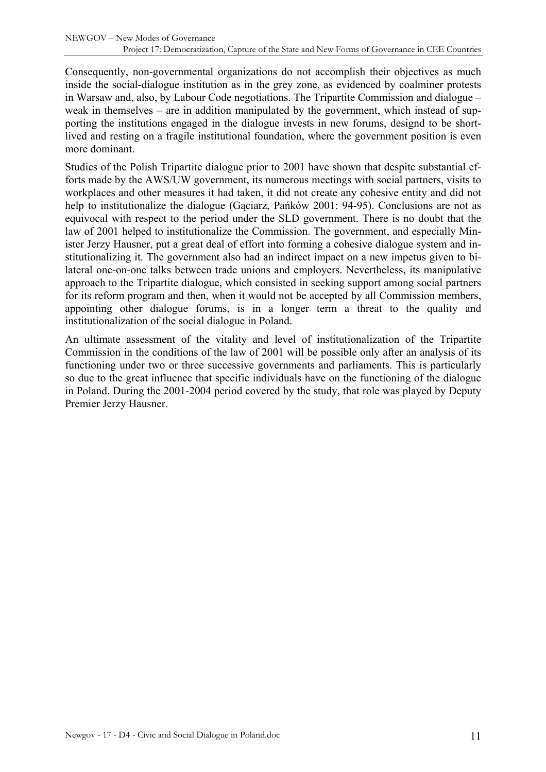Consequently, non-governmental organizations do not accomplish their objectives as much inside the social-dialogue institution as in the grey zone, as evidenced by coalminer protests in Warsaw and, also, by Labour Code negotiations. The Tripartite Commission and dialogue – weak in themselves – are in addition manipulated by the government, which instead of supporting the institutions engaged in the dialogue invests in new forums, designd to be shortlived and resting on a fragile institutional foundation, where the government position is even more dominant.

Studies of the Polish Tripartite dialogue prior to 2001 have shown that despite substantial efforts made by the AWS/UW government, its numerous meetings with social partners, visits to workplaces and other measures it had taken, it did not create any cohesive entity and did not help to institutionalize the dialogue (Gaciarz, Pańków 2001: 94-95). Conclusions are not as equivocal with respect to the period under the SLD government. There is no doubt that the law of 2001 helped to institutionalize the Commission. The government, and especially Minister Jerzy Hausner, put a great deal of effort into forming a cohesive dialogue system and institutionalizing it. The government also had an indirect impact on a new impetus given to bilateral one-on-one talks between trade unions and employers. Nevertheless, its manipulative approach to the Tripartite dialogue, which consisted in seeking support among social partners for its reform program and then, when it would not be accepted by all Commission members, appointing other dialogue forums, is in a longer term a threat to the quality and institutionalization of the social dialogue in Poland.

An ultimate assessment of the vitality and level of institutionalization of the Tripartite Commission in the conditions of the law of 2001 will be possible only after an analysis of its functioning under two or three successive governments and parliaments. This is particularly so due to the great influence that specific individuals have on the functioning of the dialogue in Poland. During the 2001-2004 period covered by the study, that role was played by Deputy Premier Jerzy Hausner.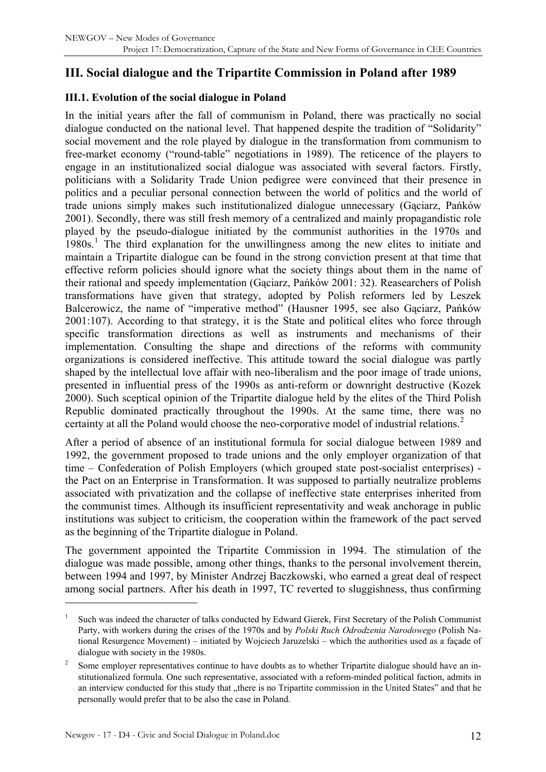## <span id="page-11-0"></span>**III. Social dialogue and the Tripartite Commission in Poland after 1989**

#### **III.1. Evolution of the social dialogue in Poland**

In the initial years after the fall of communism in Poland, there was practically no social dialogue conducted on the national level. That happened despite the tradition of "Solidarity" social movement and the role played by dialogue in the transformation from communism to free-market economy ("round-table" negotiations in 1989). The reticence of the players to engage in an institutionalized social dialogue was associated with several factors. Firstly, politicians with a Solidarity Trade Union pedigree were convinced that their presence in politics and a peculiar personal connection between the world of politics and the world of trade unions simply makes such institutionalized dialogue unnecessary (Gąciarz, Pańków 2001). Secondly, there was still fresh memory of a centralized and mainly propagandistic role played by the pseudo-dialogue initiated by the communist authorities in the 1970s and  $1980s$  $1980s$ .<sup>1</sup> The third explanation for the unwillingness among the new elites to initiate and maintain a Tripartite dialogue can be found in the strong conviction present at that time that effective reform policies should ignore what the society things about them in the name of their rational and speedy implementation (Gąciarz, Pańków 2001: 32). Reasearchers of Polish transformations have given that strategy, adopted by Polish reformers led by Leszek Balcerowicz, the name of "imperative method" (Hausner 1995, see also Gąciarz, Pańków 2001:107). According to that strategy, it is the State and political elites who force through specific transformation directions as well as instruments and mechanisms of their implementation. Consulting the shape and directions of the reforms with community organizations is considered ineffective. This attitude toward the social dialogue was partly shaped by the intellectual love affair with neo-liberalism and the poor image of trade unions, presented in influential press of the 1990s as anti-reform or downright destructive (Kozek 2000). Such sceptical opinion of the Tripartite dialogue held by the elites of the Third Polish Republic dominated practically throughout the 1990s. At the same time, there was no certainty at all the Poland would choose the neo-corporative model of industrial relations.<sup>[2](#page-11-2)</sup>

After a period of absence of an institutional formula for social dialogue between 1989 and 1992, the government proposed to trade unions and the only employer organization of that time – Confederation of Polish Employers (which grouped state post-socialist enterprises) the Pact on an Enterprise in Transformation. It was supposed to partially neutralize problems associated with privatization and the collapse of ineffective state enterprises inherited from the communist times. Although its insufficient representativity and weak anchorage in public institutions was subject to criticism, the cooperation within the framework of the pact served as the beginning of the Tripartite dialogue in Poland.

The government appointed the Tripartite Commission in 1994. The stimulation of the dialogue was made possible, among other things, thanks to the personal involvement therein, between 1994 and 1997, by Minister Andrzej Baczkowski, who earned a great deal of respect among social partners. After his death in 1997, TC reverted to sluggishness, thus confirming

<span id="page-11-1"></span><sup>1</sup> Such was indeed the character of talks conducted by Edward Gierek, First Secretary of the Polish Communist Party, with workers during the crises of the 1970s and by *Polski Ruch Odrodzenia Narodowego* (Polish National Resurgence Movement) – initiated by Wojciech Jaruzelski – which the authorities used as a façade of dialogue with society in the 1980s.

<span id="page-11-2"></span><sup>2</sup> Some employer representatives continue to have doubts as to whether Tripartite dialogue should have an institutionalized formula. One such representative, associated with a reform-minded political faction, admits in an interview conducted for this study that "there is no Tripartite commission in the United States" and that he personally would prefer that to be also the case in Poland.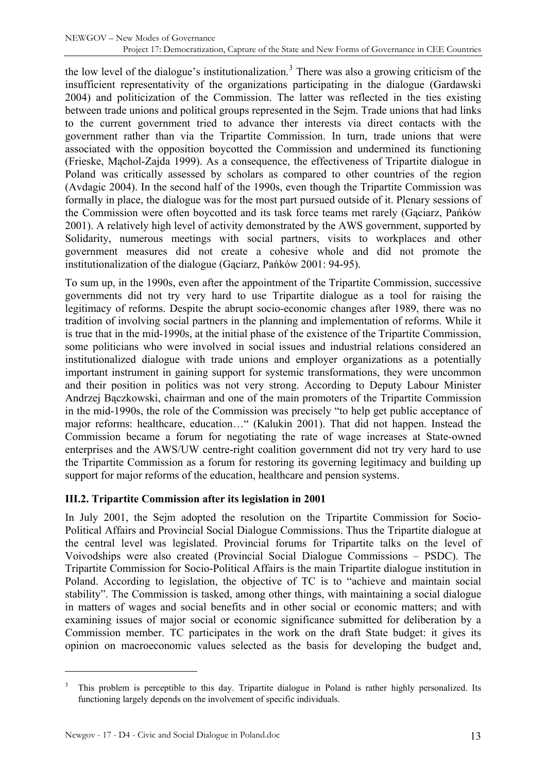<span id="page-12-0"></span>the low level of the dialogue's institutionalization.<sup>[3](#page-12-1)</sup> There was also a growing criticism of the insufficient representativity of the organizations participating in the dialogue (Gardawski 2004) and politicization of the Commission. The latter was reflected in the ties existing between trade unions and political groups represented in the Sejm. Trade unions that had links to the current government tried to advance ther interests via direct contacts with the government rather than via the Tripartite Commission. In turn, trade unions that were associated with the opposition boycotted the Commission and undermined its functioning (Frieske, Mąchol-Zajda 1999). As a consequence, the effectiveness of Tripartite dialogue in Poland was critically assessed by scholars as compared to other countries of the region (Avdagic 2004). In the second half of the 1990s, even though the Tripartite Commission was formally in place, the dialogue was for the most part pursued outside of it. Plenary sessions of the Commission were often boycotted and its task force teams met rarely (Gąciarz, Pańków 2001). A relatively high level of activity demonstrated by the AWS government, supported by Solidarity, numerous meetings with social partners, visits to workplaces and other government measures did not create a cohesive whole and did not promote the institutionalization of the dialogue (Gąciarz, Pańków 2001: 94-95).

To sum up, in the 1990s, even after the appointment of the Tripartite Commission, successive governments did not try very hard to use Tripartite dialogue as a tool for raising the legitimacy of reforms. Despite the abrupt socio-economic changes after 1989, there was no tradition of involving social partners in the planning and implementation of reforms. While it is true that in the mid-1990s, at the initial phase of the existence of the Tripartite Commission, some politicians who were involved in social issues and industrial relations considered an institutionalized dialogue with trade unions and employer organizations as a potentially important instrument in gaining support for systemic transformations, they were uncommon and their position in politics was not very strong. According to Deputy Labour Minister Andrzej Bączkowski, chairman and one of the main promoters of the Tripartite Commission in the mid-1990s, the role of the Commission was precisely "to help get public acceptance of major reforms: healthcare, education…" (Kalukin 2001). That did not happen. Instead the Commission became a forum for negotiating the rate of wage increases at State-owned enterprises and the AWS/UW centre-right coalition government did not try very hard to use the Tripartite Commission as a forum for restoring its governing legitimacy and building up support for major reforms of the education, healthcare and pension systems.

#### **III.2. Tripartite Commission after its legislation in 2001**

In July 2001, the Sejm adopted the resolution on the Tripartite Commission for Socio-Political Affairs and Provincial Social Dialogue Commissions. Thus the Tripartite dialogue at the central level was legislated. Provincial forums for Tripartite talks on the level of Voivodships were also created (Provincial Social Dialogue Commissions – PSDC). The Tripartite Commission for Socio-Political Affairs is the main Tripartite dialogue institution in Poland. According to legislation, the objective of TC is to "achieve and maintain social stability". The Commission is tasked, among other things, with maintaining a social dialogue in matters of wages and social benefits and in other social or economic matters; and with examining issues of major social or economic significance submitted for deliberation by a Commission member. TC participates in the work on the draft State budget: it gives its opinion on macroeconomic values selected as the basis for developing the budget and,

<span id="page-12-1"></span>functioning largely depends on the involvement of specific individuals. 3 This problem is perceptible to this day. Tripartite dialogue in Poland is rather highly personalized. Its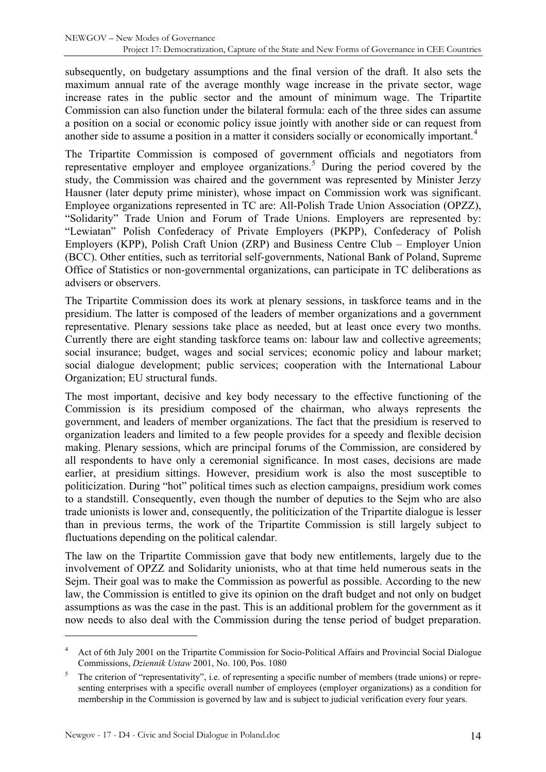subsequently, on budgetary assumptions and the final version of the draft. It also sets the maximum annual rate of the average monthly wage increase in the private sector, wage increase rates in the public sector and the amount of minimum wage. The Tripartite Commission can also function under the bilateral formula: each of the three sides can assume a position on a social or economic policy issue jointly with another side or can request from another side to assume a position in a matter it considers socially or economically important.<sup>[4](#page-13-0)</sup>

The Tripartite Commission is composed of government officials and negotiators from representative employer and employee organizations.<sup>[5](#page-13-1)</sup> During the period covered by the study, the Commission was chaired and the government was represented by Minister Jerzy Hausner (later deputy prime minister), whose impact on Commission work was significant. Employee organizations represented in TC are: All-Polish Trade Union Association (OPZZ), "Solidarity" Trade Union and Forum of Trade Unions. Employers are represented by: "Lewiatan" Polish Confederacy of Private Employers (PKPP), Confederacy of Polish Employers (KPP), Polish Craft Union (ZRP) and Business Centre Club – Employer Union (BCC). Other entities, such as territorial self-governments, National Bank of Poland, Supreme Office of Statistics or non-governmental organizations, can participate in TC deliberations as advisers or observers.

The Tripartite Commission does its work at plenary sessions, in taskforce teams and in the presidium. The latter is composed of the leaders of member organizations and a government representative. Plenary sessions take place as needed, but at least once every two months. Currently there are eight standing taskforce teams on: labour law and collective agreements; social insurance; budget, wages and social services; economic policy and labour market; social dialogue development; public services; cooperation with the International Labour Organization; EU structural funds.

The most important, decisive and key body necessary to the effective functioning of the Commission is its presidium composed of the chairman, who always represents the government, and leaders of member organizations. The fact that the presidium is reserved to organization leaders and limited to a few people provides for a speedy and flexible decision making. Plenary sessions, which are principal forums of the Commission, are considered by all respondents to have only a ceremonial significance. In most cases, decisions are made earlier, at presidium sittings. However, presidium work is also the most susceptible to politicization. During "hot" political times such as election campaigns, presidium work comes to a standstill. Consequently, even though the number of deputies to the Sejm who are also trade unionists is lower and, consequently, the politicization of the Tripartite dialogue is lesser than in previous terms, the work of the Tripartite Commission is still largely subject to fluctuations depending on the political calendar.

The law on the Tripartite Commission gave that body new entitlements, largely due to the involvement of OPZZ and Solidarity unionists, who at that time held numerous seats in the Sejm. Their goal was to make the Commission as powerful as possible. According to the new law, the Commission is entitled to give its opinion on the draft budget and not only on budget assumptions as was the case in the past. This is an additional problem for the government as it now needs to also deal with the Commission during the tense period of budget preparation.

<span id="page-13-0"></span><sup>4</sup> Act of 6th July 2001 on the Tripartite Commission for Socio-Political Affairs and Provincial Social Dialogue Commissions, *Dziennik Ustaw* 2001, No. 100, Pos. 1080

<span id="page-13-1"></span><sup>5</sup> The criterion of "representativity", i.e. of representing a specific number of members (trade unions) or representing enterprises with a specific overall number of employees (employer organizations) as a condition for membership in the Commission is governed by law and is subject to judicial verification every four years.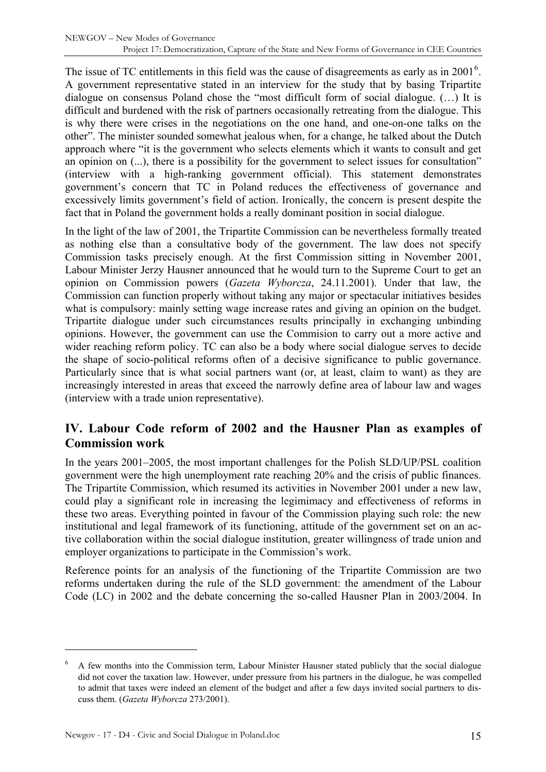<span id="page-14-0"></span>The issue of TC entitlements in this field was the cause of disagreements as early as in  $2001<sup>6</sup>$  $2001<sup>6</sup>$  $2001<sup>6</sup>$ . A government representative stated in an interview for the study that by basing Tripartite dialogue on consensus Poland chose the "most difficult form of social dialogue. (…) It is difficult and burdened with the risk of partners occasionally retreating from the dialogue. This is why there were crises in the negotiations on the one hand, and one-on-one talks on the other". The minister sounded somewhat jealous when, for a change, he talked about the Dutch approach where "it is the government who selects elements which it wants to consult and get an opinion on (...), there is a possibility for the government to select issues for consultation" (interview with a high-ranking government official). This statement demonstrates government's concern that TC in Poland reduces the effectiveness of governance and excessively limits government's field of action. Ironically, the concern is present despite the fact that in Poland the government holds a really dominant position in social dialogue.

In the light of the law of 2001, the Tripartite Commission can be nevertheless formally treated as nothing else than a consultative body of the government. The law does not specify Commission tasks precisely enough. At the first Commission sitting in November 2001, Labour Minister Jerzy Hausner announced that he would turn to the Supreme Court to get an opinion on Commission powers (*Gazeta Wyborcza*, 24.11.2001). Under that law, the Commission can function properly without taking any major or spectacular initiatives besides what is compulsory: mainly setting wage increase rates and giving an opinion on the budget. Tripartite dialogue under such circumstances results principally in exchanging unbinding opinions. However, the government can use the Commision to carry out a more active and wider reaching reform policy. TC can also be a body where social dialogue serves to decide the shape of socio-political reforms often of a decisive significance to public governance. Particularly since that is what social partners want (or, at least, claim to want) as they are increasingly interested in areas that exceed the narrowly define area of labour law and wages (interview with a trade union representative).

## **IV. Labour Code reform of 2002 and the Hausner Plan as examples of Commission work**

In the years 2001–2005, the most important challenges for the Polish SLD/UP/PSL coalition government were the high unemployment rate reaching 20% and the crisis of public finances. The Tripartite Commission, which resumed its activities in November 2001 under a new law, could play a significant role in increasing the legimimacy and effectiveness of reforms in these two areas. Everything pointed in favour of the Commission playing such role: the new institutional and legal framework of its functioning, attitude of the government set on an active collaboration within the social dialogue institution, greater willingness of trade union and employer organizations to participate in the Commission's work.

Reference points for an analysis of the functioning of the Tripartite Commission are two reforms undertaken during the rule of the SLD government: the amendment of the Labour Code (LC) in 2002 and the debate concerning the so-called Hausner Plan in 2003/2004. In

<span id="page-14-1"></span><sup>6</sup> A few months into the Commission term, Labour Minister Hausner stated publicly that the social dialogue did not cover the taxation law. However, under pressure from his partners in the dialogue, he was compelled to admit that taxes were indeed an element of the budget and after a few days invited social partners to discuss them. (*Gazeta Wyborcza* 273/2001).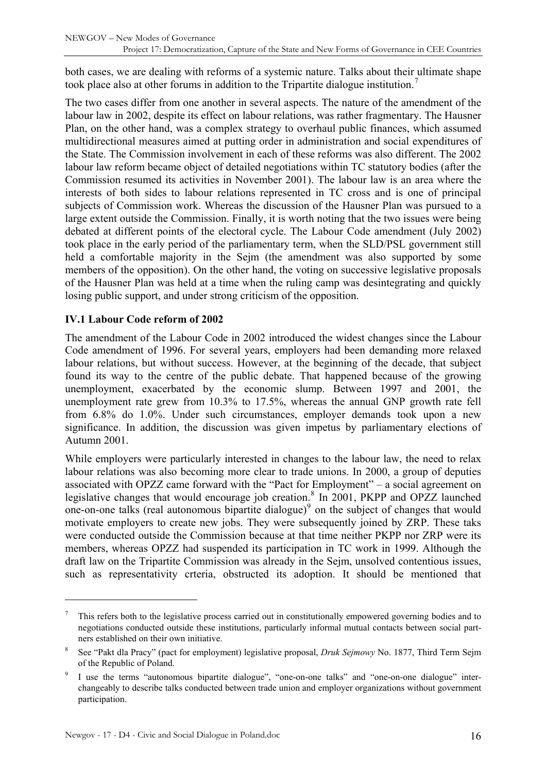<span id="page-15-0"></span>both cases, we are dealing with reforms of a systemic nature. Talks about their ultimate shape took place also at other forums in addition to the Tripartite dialogue institution.<sup>[7](#page-15-1)</sup>

The two cases differ from one another in several aspects. The nature of the amendment of the labour law in 2002, despite its effect on labour relations, was rather fragmentary. The Hausner Plan, on the other hand, was a complex strategy to overhaul public finances, which assumed multidirectional measures aimed at putting order in administration and social expenditures of the State. The Commission involvement in each of these reforms was also different. The 2002 labour law reform became object of detailed negotiations within TC statutory bodies (after the Commission resumed its activities in November 2001). The labour law is an area where the interests of both sides to labour relations represented in TC cross and is one of principal subjects of Commission work. Whereas the discussion of the Hausner Plan was pursued to a large extent outside the Commission. Finally, it is worth noting that the two issues were being debated at different points of the electoral cycle. The Labour Code amendment (July 2002) took place in the early period of the parliamentary term, when the SLD/PSL government still held a comfortable majority in the Sejm (the amendment was also supported by some members of the opposition). On the other hand, the voting on successive legislative proposals of the Hausner Plan was held at a time when the ruling camp was desintegrating and quickly losing public support, and under strong criticism of the opposition.

#### **IV.1 Labour Code reform of 2002**

The amendment of the Labour Code in 2002 introduced the widest changes since the Labour Code amendment of 1996. For several years, employers had been demanding more relaxed labour relations, but without success. However, at the beginning of the decade, that subject found its way to the centre of the public debate. That happened because of the growing unemployment, exacerbated by the economic slump. Between 1997 and 2001, the unemployment rate grew from 10.3% to 17.5%, whereas the annual GNP growth rate fell from 6.8% do 1.0%. Under such circumstances, employer demands took upon a new significance. In addition, the discussion was given impetus by parliamentary elections of Autumn 2001.

While employers were particularly interested in changes to the labour law, the need to relax labour relations was also becoming more clear to trade unions. In 2000, a group of deputies associated with OPZZ came forward with the "Pact for Employment" – a social agreement on legislative changes that would encourage job creation.<sup>[8](#page-15-2)</sup> In 2001, PKPP and OPZZ launched one-on-one talks (real autonomous bipartite dialogue) $9$  on the subject of changes that would motivate employers to create new jobs. They were subsequently joined by ZRP. These taks were conducted outside the Commission because at that time neither PKPP nor ZRP were its members, whereas OPZZ had suspended its participation in TC work in 1999. Although the draft law on the Tripartite Commission was already in the Sejm, unsolved contentious issues, such as representativity crteria, obstructed its adoption. It should be mentioned that

<span id="page-15-1"></span><sup>7</sup> This refers both to the legislative process carried out in constitutionally empowered governing bodies and to negotiations conducted outside these institutions, particularly informal mutual contacts between social partners established on their own initiative.

<span id="page-15-2"></span><sup>8</sup> See "Pakt dla Pracy" (pact for employment) legislative proposal, *Druk Sejmowy* No. 1877, Third Term Sejm of the Republic of Poland.

<span id="page-15-3"></span><sup>9</sup> I use the terms "autonomous bipartite dialogue", "one-on-one talks" and "one-on-one dialogue" interchangeably to describe talks conducted between trade union and employer organizations without government participation.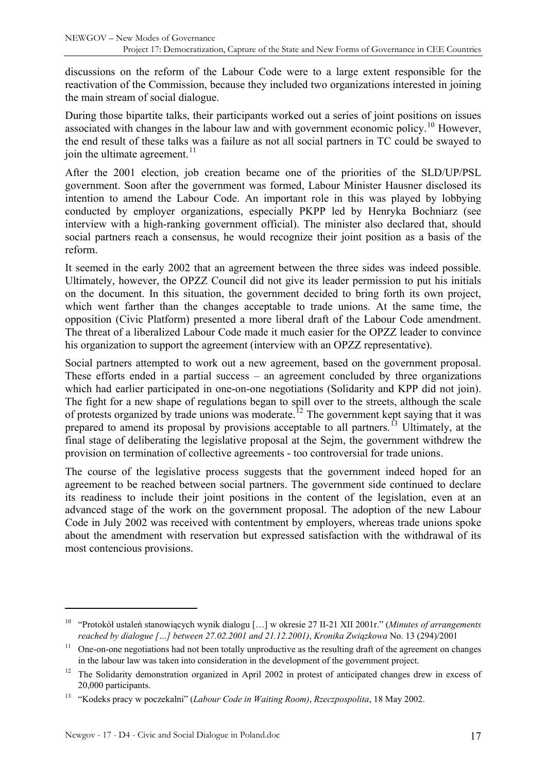discussions on the reform of the Labour Code were to a large extent responsible for the reactivation of the Commission, because they included two organizations interested in joining the main stream of social dialogue.

During those bipartite talks, their participants worked out a series of joint positions on issues associated with changes in the labour law and with government economic policy.<sup>[10](#page-16-0)</sup> However, the end result of these talks was a failure as not all social partners in TC could be swayed to join the ultimate agreement. $^{11}$  $^{11}$  $^{11}$ 

After the 2001 election, job creation became one of the priorities of the SLD/UP/PSL government. Soon after the government was formed, Labour Minister Hausner disclosed its intention to amend the Labour Code. An important role in this was played by lobbying conducted by employer organizations, especially PKPP led by Henryka Bochniarz (see interview with a high-ranking government official). The minister also declared that, should social partners reach a consensus, he would recognize their joint position as a basis of the reform.

It seemed in the early 2002 that an agreement between the three sides was indeed possible. Ultimately, however, the OPZZ Council did not give its leader permission to put his initials on the document. In this situation, the government decided to bring forth its own project, which went farther than the changes acceptable to trade unions. At the same time, the opposition (Civic Platform) presented a more liberal draft of the Labour Code amendment. The threat of a liberalized Labour Code made it much easier for the OPZZ leader to convince his organization to support the agreement (interview with an OPZZ representative).

Social partners attempted to work out a new agreement, based on the government proposal. These efforts ended in a partial success – an agreement concluded by three organizations which had earlier participated in one-on-one negotiations (Solidarity and KPP did not join). The fight for a new shape of regulations began to spill over to the streets, although the scale of protests organized by trade unions was moderate.<sup>[12](#page-16-2)</sup> The government kept saying that it was prepared to amend its proposal by provisions acceptable to all partners.<sup>[13](#page-16-3)</sup> Ultimately, at the final stage of deliberating the legislative proposal at the Sejm, the government withdrew the provision on termination of collective agreements - too controversial for trade unions.

The course of the legislative process suggests that the government indeed hoped for an agreement to be reached between social partners. The government side continued to declare its readiness to include their joint positions in the content of the legislation, even at an advanced stage of the work on the government proposal. The adoption of the new Labour Code in July 2002 was received with contentment by employers, whereas trade unions spoke about the amendment with reservation but expressed satisfaction with the withdrawal of its most contencious provisions.

<span id="page-16-0"></span><sup>10 &</sup>quot;Protokół ustaleń stanowiących wynik dialogu […] w okresie 27 II-21 XII 2001r." (*Minutes of arrangements reached by dialogue […] between 27.02.2001 and 21.12.2001)*, *Kronika Związkowa* No. 13 (294)/2001

<span id="page-16-1"></span><sup>&</sup>lt;sup>11</sup> One-on-one negotiations had not been totally unproductive as the resulting draft of the agreement on changes in the labour law was taken into consideration in the development of the government project.

<span id="page-16-2"></span><sup>&</sup>lt;sup>12</sup> The Solidarity demonstration organized in April 2002 in protest of anticipated changes drew in excess of 20,000 participants.

<span id="page-16-3"></span><sup>13 &</sup>quot;Kodeks pracy w poczekalni" (*Labour Code in Waiting Room)*, *Rzeczpospolita*, 18 May 2002.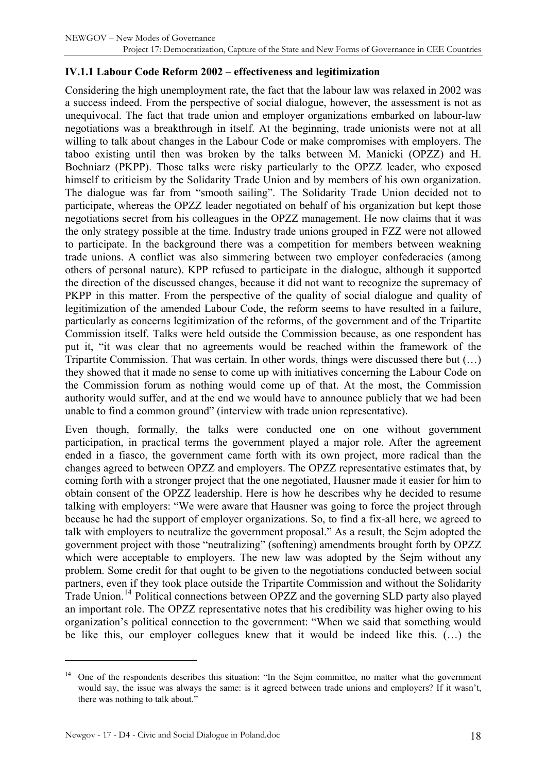#### <span id="page-17-0"></span>**IV.1.1 Labour Code Reform 2002 – effectiveness and legitimization**

Considering the high unemployment rate, the fact that the labour law was relaxed in 2002 was a success indeed. From the perspective of social dialogue, however, the assessment is not as unequivocal. The fact that trade union and employer organizations embarked on labour-law negotiations was a breakthrough in itself. At the beginning, trade unionists were not at all willing to talk about changes in the Labour Code or make compromises with employers. The taboo existing until then was broken by the talks between M. Manicki (OPZZ) and H. Bochniarz (PKPP). Those talks were risky particularly to the OPZZ leader, who exposed himself to criticism by the Solidarity Trade Union and by members of his own organization. The dialogue was far from "smooth sailing". The Solidarity Trade Union decided not to participate, whereas the OPZZ leader negotiated on behalf of his organization but kept those negotiations secret from his colleagues in the OPZZ management. He now claims that it was the only strategy possible at the time. Industry trade unions grouped in FZZ were not allowed to participate. In the background there was a competition for members between weakning trade unions. A conflict was also simmering between two employer confederacies (among others of personal nature). KPP refused to participate in the dialogue, although it supported the direction of the discussed changes, because it did not want to recognize the supremacy of PKPP in this matter. From the perspective of the quality of social dialogue and quality of legitimization of the amended Labour Code, the reform seems to have resulted in a failure, particularly as concerns legitimization of the reforms, of the government and of the Tripartite Commission itself. Talks were held outside the Commission because, as one respondent has put it, "it was clear that no agreements would be reached within the framework of the Tripartite Commission. That was certain. In other words, things were discussed there but (…) they showed that it made no sense to come up with initiatives concerning the Labour Code on the Commission forum as nothing would come up of that. At the most, the Commission authority would suffer, and at the end we would have to announce publicly that we had been unable to find a common ground" (interview with trade union representative).

Even though, formally, the talks were conducted one on one without government participation, in practical terms the government played a major role. After the agreement ended in a fiasco, the government came forth with its own project, more radical than the changes agreed to between OPZZ and employers. The OPZZ representative estimates that, by coming forth with a stronger project that the one negotiated, Hausner made it easier for him to obtain consent of the OPZZ leadership. Here is how he describes why he decided to resume talking with employers: "We were aware that Hausner was going to force the project through because he had the support of employer organizations. So, to find a fix-all here, we agreed to talk with employers to neutralize the government proposal." As a result, the Sejm adopted the government project with those "neutralizing" (softening) amendments brought forth by OPZZ which were acceptable to employers. The new law was adopted by the Seim without any problem. Some credit for that ought to be given to the negotiations conducted between social partners, even if they took place outside the Tripartite Commission and without the Solidarity Trade Union.<sup>[14](#page-17-1)</sup> Political connections between OPZZ and the governing SLD party also played an important role. The OPZZ representative notes that his credibility was higher owing to his organization's political connection to the government: "When we said that something would be like this, our employer collegues knew that it would be indeed like this. (…) the

<span id="page-17-1"></span><sup>&</sup>lt;sup>14</sup> One of the respondents describes this situation: "In the Sejm committee, no matter what the government would say, the issue was always the same: is it agreed between trade unions and employers? If it wasn't, there was nothing to talk about."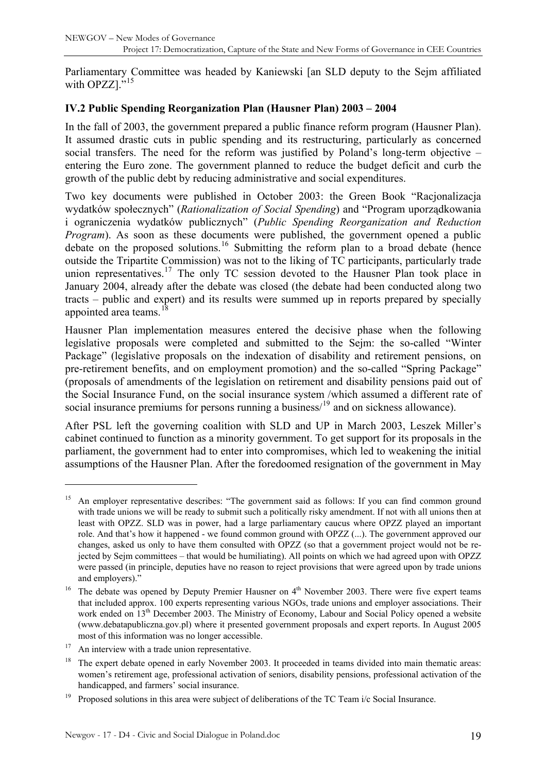<span id="page-18-0"></span>Parliamentary Committee was headed by Kaniewski [an SLD deputy to the Sejm affiliated with OPZZ $1.^{15}$  $1.^{15}$  $1.^{15}$ 

#### **IV.2 Public Spending Reorganization Plan (Hausner Plan) 2003 – 2004**

In the fall of 2003, the government prepared a public finance reform program (Hausner Plan). It assumed drastic cuts in public spending and its restructuring, particularly as concerned social transfers. The need for the reform was justified by Poland's long-term objective – entering the Euro zone. The government planned to reduce the budget deficit and curb the growth of the public debt by reducing administrative and social expenditures.

Two key documents were published in October 2003: the Green Book "Racjonalizacja wydatków społecznych" (*Rationalization of Social Spending*) and "Program uporządkowania i ograniczenia wydatków publicznych" (*Public Spending Reorganization and Reduction Program*). As soon as these documents were published, the government opened a public debate on the proposed solutions.<sup>[16](#page-18-2)</sup> Submitting the reform plan to a broad debate (hence outside the Tripartite Commission) was not to the liking of TC participants, particularly trade union representatives.<sup>[17](#page-18-3)</sup> The only TC session devoted to the Hausner Plan took place in January 2004, already after the debate was closed (the debate had been conducted along two tracts – public and expert) and its results were summed up in reports prepared by specially appointed area teams. $18$ 

Hausner Plan implementation measures entered the decisive phase when the following legislative proposals were completed and submitted to the Sejm: the so-called "Winter Package" (legislative proposals on the indexation of disability and retirement pensions, on pre-retirement benefits, and on employment promotion) and the so-called "Spring Package" (proposals of amendments of the legislation on retirement and disability pensions paid out of the Social Insurance Fund, on the social insurance system /which assumed a different rate of social insurance premiums for persons running a business/<sup>[19](#page-18-5)</sup> and on sickness allowance).

After PSL left the governing coalition with SLD and UP in March 2003, Leszek Miller's cabinet continued to function as a minority government. To get support for its proposals in the parliament, the government had to enter into compromises, which led to weakening the initial assumptions of the Hausner Plan. After the foredoomed resignation of the government in May

<span id="page-18-1"></span><sup>&</sup>lt;sup>15</sup> An employer representative describes: "The government said as follows: If you can find common ground with trade unions we will be ready to submit such a politically risky amendment. If not with all unions then at least with OPZZ. SLD was in power, had a large parliamentary caucus where OPZZ played an important role. And that's how it happened - we found common ground with OPZZ (...). The government approved our changes, asked us only to have them consulted with OPZZ (so that a government project would not be rejected by Sejm committees – that would be humiliating). All points on which we had agreed upon with OPZZ were passed (in principle, deputies have no reason to reject provisions that were agreed upon by trade unions and employers)."

<span id="page-18-2"></span><sup>&</sup>lt;sup>16</sup> The debate was opened by Deputy Premier Hausner on  $4<sup>th</sup>$  November 2003. There were five expert teams that included approx. 100 experts representing various NGOs, trade unions and employer associations. Their work ended on 13<sup>th</sup> December 2003. The Ministry of Economy, Labour and Social Policy opened a website (www.debatapubliczna.gov.pl) where it presented government proposals and expert reports. In August 2005 most of this information was no longer accessible.

<span id="page-18-3"></span> $17$  An interview with a trade union representative.

<span id="page-18-4"></span>The expert debate opened in early November 2003. It proceeded in teams divided into main thematic areas: women's retirement age, professional activation of seniors, disability pensions, professional activation of the handicapped, and farmers' social insurance.

<span id="page-18-5"></span><sup>&</sup>lt;sup>19</sup> Proposed solutions in this area were subject of deliberations of the TC Team i/c Social Insurance.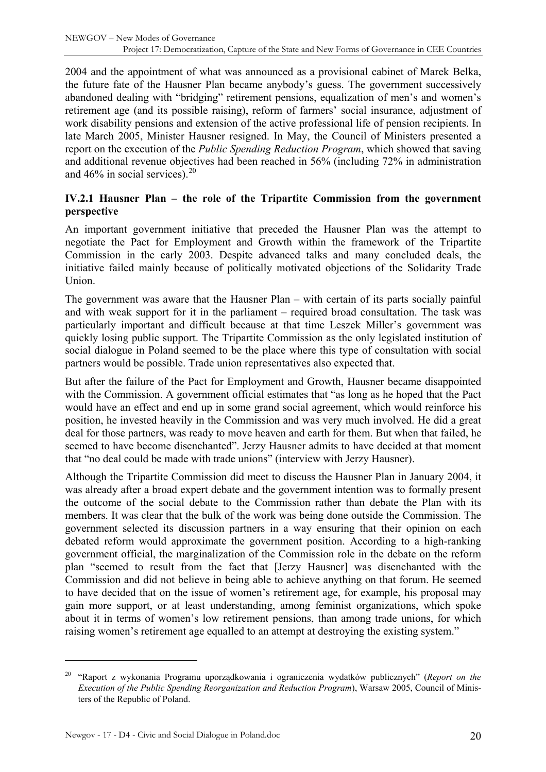<span id="page-19-0"></span>2004 and the appointment of what was announced as a provisional cabinet of Marek Belka, the future fate of the Hausner Plan became anybody's guess. The government successively abandoned dealing with "bridging" retirement pensions, equalization of men's and women's retirement age (and its possible raising), reform of farmers' social insurance, adjustment of work disability pensions and extension of the active professional life of pension recipients. In late March 2005, Minister Hausner resigned. In May, the Council of Ministers presented a report on the execution of the *Public Spending Reduction Program*, which showed that saving and additional revenue objectives had been reached in 56% (including 72% in administration and  $46\%$  in social services).<sup>[20](#page-19-1)</sup>

#### **IV.2.1 Hausner Plan – the role of the Tripartite Commission from the government perspective**

An important government initiative that preceded the Hausner Plan was the attempt to negotiate the Pact for Employment and Growth within the framework of the Tripartite Commission in the early 2003. Despite advanced talks and many concluded deals, the initiative failed mainly because of politically motivated objections of the Solidarity Trade Union.

The government was aware that the Hausner Plan – with certain of its parts socially painful and with weak support for it in the parliament – required broad consultation. The task was particularly important and difficult because at that time Leszek Miller's government was quickly losing public support. The Tripartite Commission as the only legislated institution of social dialogue in Poland seemed to be the place where this type of consultation with social partners would be possible. Trade union representatives also expected that.

But after the failure of the Pact for Employment and Growth, Hausner became disappointed with the Commission. A government official estimates that "as long as he hoped that the Pact would have an effect and end up in some grand social agreement, which would reinforce his position, he invested heavily in the Commission and was very much involved. He did a great deal for those partners, was ready to move heaven and earth for them. But when that failed, he seemed to have become disenchanted". Jerzy Hausner admits to have decided at that moment that "no deal could be made with trade unions" (interview with Jerzy Hausner).

Although the Tripartite Commission did meet to discuss the Hausner Plan in January 2004, it was already after a broad expert debate and the government intention was to formally present the outcome of the social debate to the Commission rather than debate the Plan with its members. It was clear that the bulk of the work was being done outside the Commission. The government selected its discussion partners in a way ensuring that their opinion on each debated reform would approximate the government position. According to a high-ranking government official, the marginalization of the Commission role in the debate on the reform plan "seemed to result from the fact that [Jerzy Hausner] was disenchanted with the Commission and did not believe in being able to achieve anything on that forum. He seemed to have decided that on the issue of women's retirement age, for example, his proposal may gain more support, or at least understanding, among feminist organizations, which spoke about it in terms of women's low retirement pensions, than among trade unions, for which raising women's retirement age equalled to an attempt at destroying the existing system."

<span id="page-19-1"></span><sup>20 &</sup>quot;Raport z wykonania Programu uporządkowania i ograniczenia wydatków publicznych" (*Report on the Execution of the Public Spending Reorganization and Reduction Program*), Warsaw 2005, Council of Ministers of the Republic of Poland.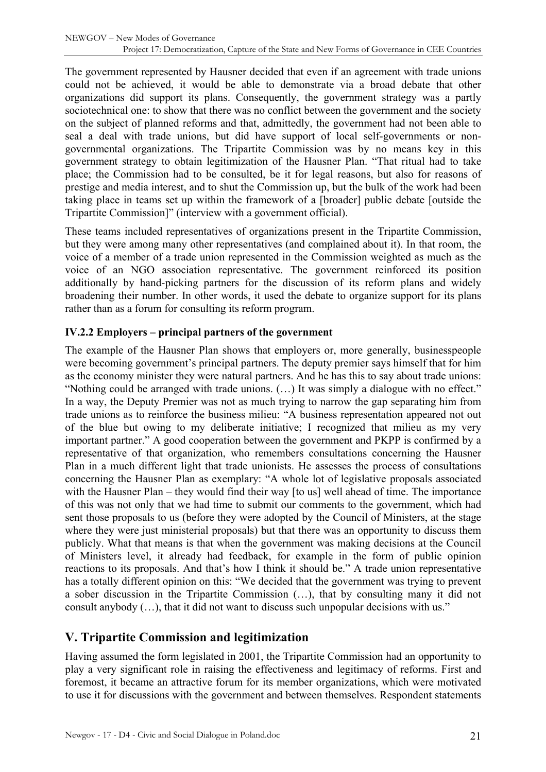<span id="page-20-0"></span>The government represented by Hausner decided that even if an agreement with trade unions could not be achieved, it would be able to demonstrate via a broad debate that other organizations did support its plans. Consequently, the government strategy was a partly sociotechnical one: to show that there was no conflict between the government and the society on the subject of planned reforms and that, admittedly, the government had not been able to seal a deal with trade unions, but did have support of local self-governments or nongovernmental organizations. The Tripartite Commission was by no means key in this government strategy to obtain legitimization of the Hausner Plan. "That ritual had to take place; the Commission had to be consulted, be it for legal reasons, but also for reasons of prestige and media interest, and to shut the Commission up, but the bulk of the work had been taking place in teams set up within the framework of a [broader] public debate [outside the Tripartite Commission]" (interview with a government official).

These teams included representatives of organizations present in the Tripartite Commission, but they were among many other representatives (and complained about it). In that room, the voice of a member of a trade union represented in the Commission weighted as much as the voice of an NGO association representative. The government reinforced its position additionally by hand-picking partners for the discussion of its reform plans and widely broadening their number. In other words, it used the debate to organize support for its plans rather than as a forum for consulting its reform program.

### **IV.2.2 Employers – principal partners of the government**

The example of the Hausner Plan shows that employers or, more generally, businesspeople were becoming government's principal partners. The deputy premier says himself that for him as the economy minister they were natural partners. And he has this to say about trade unions: "Nothing could be arranged with trade unions. (…) It was simply a dialogue with no effect." In a way, the Deputy Premier was not as much trying to narrow the gap separating him from trade unions as to reinforce the business milieu: "A business representation appeared not out of the blue but owing to my deliberate initiative; I recognized that milieu as my very important partner." A good cooperation between the government and PKPP is confirmed by a representative of that organization, who remembers consultations concerning the Hausner Plan in a much different light that trade unionists. He assesses the process of consultations concerning the Hausner Plan as exemplary: "A whole lot of legislative proposals associated with the Hausner Plan – they would find their way [to us] well ahead of time. The importance of this was not only that we had time to submit our comments to the government, which had sent those proposals to us (before they were adopted by the Council of Ministers, at the stage where they were just ministerial proposals) but that there was an opportunity to discuss them publicly. What that means is that when the government was making decisions at the Council of Ministers level, it already had feedback, for example in the form of public opinion reactions to its proposals. And that's how I think it should be." A trade union representative has a totally different opinion on this: "We decided that the government was trying to prevent a sober discussion in the Tripartite Commission (…), that by consulting many it did not consult anybody (…), that it did not want to discuss such unpopular decisions with us."

## **V. Tripartite Commission and legitimization**

Having assumed the form legislated in 2001, the Tripartite Commission had an opportunity to play a very significant role in raising the effectiveness and legitimacy of reforms. First and foremost, it became an attractive forum for its member organizations, which were motivated to use it for discussions with the government and between themselves. Respondent statements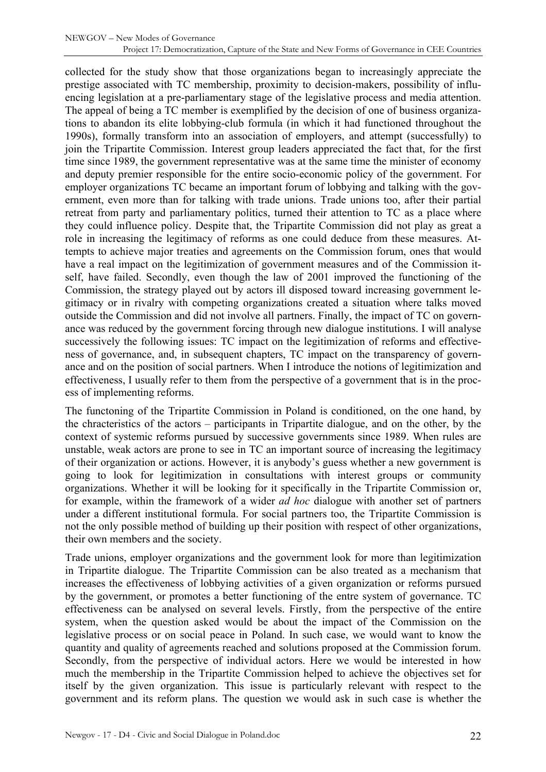collected for the study show that those organizations began to increasingly appreciate the prestige associated with TC membership, proximity to decision-makers, possibility of influencing legislation at a pre-parliamentary stage of the legislative process and media attention. The appeal of being a TC member is exemplified by the decision of one of business organizations to abandon its elite lobbying-club formula (in which it had functioned throughout the 1990s), formally transform into an association of employers, and attempt (successfully) to join the Tripartite Commission. Interest group leaders appreciated the fact that, for the first time since 1989, the government representative was at the same time the minister of economy and deputy premier responsible for the entire socio-economic policy of the government. For employer organizations TC became an important forum of lobbying and talking with the government, even more than for talking with trade unions. Trade unions too, after their partial retreat from party and parliamentary politics, turned their attention to TC as a place where they could influence policy. Despite that, the Tripartite Commission did not play as great a role in increasing the legitimacy of reforms as one could deduce from these measures. Attempts to achieve major treaties and agreements on the Commission forum, ones that would have a real impact on the legitimization of government measures and of the Commission itself, have failed. Secondly, even though the law of 2001 improved the functioning of the Commission, the strategy played out by actors ill disposed toward increasing government legitimacy or in rivalry with competing organizations created a situation where talks moved outside the Commission and did not involve all partners. Finally, the impact of TC on governance was reduced by the government forcing through new dialogue institutions. I will analyse successively the following issues: TC impact on the legitimization of reforms and effectiveness of governance, and, in subsequent chapters, TC impact on the transparency of governance and on the position of social partners. When I introduce the notions of legitimization and effectiveness, I usually refer to them from the perspective of a government that is in the process of implementing reforms.

The functoning of the Tripartite Commission in Poland is conditioned, on the one hand, by the chracteristics of the actors – participants in Tripartite dialogue, and on the other, by the context of systemic reforms pursued by successive governments since 1989. When rules are unstable, weak actors are prone to see in TC an important source of increasing the legitimacy of their organization or actions. However, it is anybody's guess whether a new government is going to look for legitimization in consultations with interest groups or community organizations. Whether it will be looking for it specifically in the Tripartite Commission or, for example, within the framework of a wider *ad hoc* dialogue with another set of partners under a different institutional formula. For social partners too, the Tripartite Commission is not the only possible method of building up their position with respect of other organizations, their own members and the society.

Trade unions, employer organizations and the government look for more than legitimization in Tripartite dialogue. The Tripartite Commission can be also treated as a mechanism that increases the effectiveness of lobbying activities of a given organization or reforms pursued by the government, or promotes a better functioning of the entre system of governance. TC effectiveness can be analysed on several levels. Firstly, from the perspective of the entire system, when the question asked would be about the impact of the Commission on the legislative process or on social peace in Poland. In such case, we would want to know the quantity and quality of agreements reached and solutions proposed at the Commission forum. Secondly, from the perspective of individual actors. Here we would be interested in how much the membership in the Tripartite Commission helped to achieve the objectives set for itself by the given organization. This issue is particularly relevant with respect to the government and its reform plans. The question we would ask in such case is whether the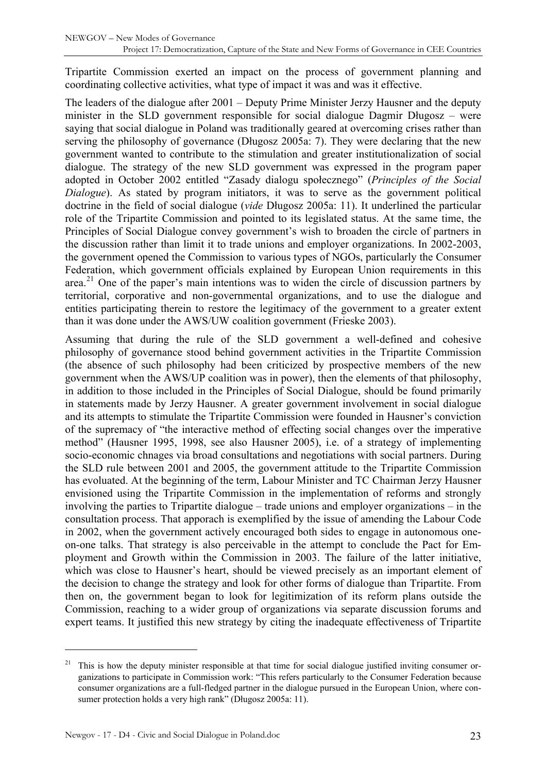Tripartite Commission exerted an impact on the process of government planning and coordinating collective activities, what type of impact it was and was it effective.

The leaders of the dialogue after 2001 – Deputy Prime Minister Jerzy Hausner and the deputy minister in the SLD government responsible for social dialogue Dagmir Długosz – were saying that social dialogue in Poland was traditionally geared at overcoming crises rather than serving the philosophy of governance (Długosz 2005a: 7). They were declaring that the new government wanted to contribute to the stimulation and greater institutionalization of social dialogue. The strategy of the new SLD government was expressed in the program paper adopted in October 2002 entitled "Zasady dialogu społecznego" (*Principles of the Social Dialogue*). As stated by program initiators, it was to serve as the government political doctrine in the field of social dialogue (*vide* Długosz 2005a: 11). It underlined the particular role of the Tripartite Commission and pointed to its legislated status. At the same time, the Principles of Social Dialogue convey government's wish to broaden the circle of partners in the discussion rather than limit it to trade unions and employer organizations. In 2002-2003, the government opened the Commission to various types of NGOs, particularly the Consumer Federation, which government officials explained by European Union requirements in this area.<sup>[21](#page-22-0)</sup> One of the paper's main intentions was to widen the circle of discussion partners by territorial, corporative and non-governmental organizations, and to use the dialogue and entities participating therein to restore the legitimacy of the government to a greater extent than it was done under the AWS/UW coalition government (Frieske 2003).

Assuming that during the rule of the SLD government a well-defined and cohesive philosophy of governance stood behind government activities in the Tripartite Commission (the absence of such philosophy had been criticized by prospective members of the new government when the AWS/UP coalition was in power), then the elements of that philosophy, in addition to those included in the Principles of Social Dialogue, should be found primarily in statements made by Jerzy Hausner. A greater government involvement in social dialogue and its attempts to stimulate the Tripartite Commission were founded in Hausner's conviction of the supremacy of "the interactive method of effecting social changes over the imperative method" (Hausner 1995, 1998, see also Hausner 2005), i.e. of a strategy of implementing socio-economic chnages via broad consultations and negotiations with social partners. During the SLD rule between 2001 and 2005, the government attitude to the Tripartite Commission has evoluated. At the beginning of the term, Labour Minister and TC Chairman Jerzy Hausner envisioned using the Tripartite Commission in the implementation of reforms and strongly involving the parties to Tripartite dialogue – trade unions and employer organizations – in the consultation process. That apporach is exemplified by the issue of amending the Labour Code in 2002, when the government actively encouraged both sides to engage in autonomous oneon-one talks. That strategy is also perceivable in the attempt to conclude the Pact for Employment and Growth within the Commission in 2003. The failure of the latter initiative, which was close to Hausner's heart, should be viewed precisely as an important element of the decision to change the strategy and look for other forms of dialogue than Tripartite. From then on, the government began to look for legitimization of its reform plans outside the Commission, reaching to a wider group of organizations via separate discussion forums and expert teams. It justified this new strategy by citing the inadequate effectiveness of Tripartite

<span id="page-22-0"></span><sup>21</sup> This is how the deputy minister responsible at that time for social dialogue justified inviting consumer organizations to participate in Commission work: "This refers particularly to the Consumer Federation because consumer organizations are a full-fledged partner in the dialogue pursued in the European Union, where consumer protection holds a very high rank" (Długosz 2005a: 11).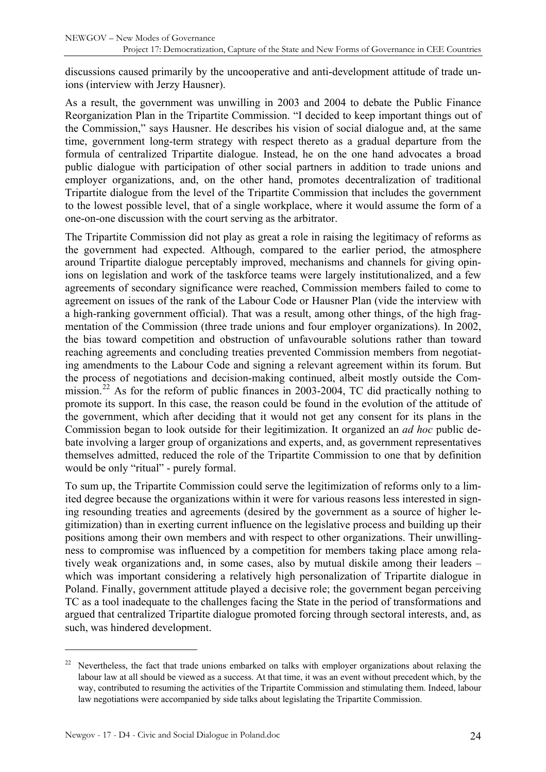discussions caused primarily by the uncooperative and anti-development attitude of trade unions (interview with Jerzy Hausner).

As a result, the government was unwilling in 2003 and 2004 to debate the Public Finance Reorganization Plan in the Tripartite Commission. "I decided to keep important things out of the Commission," says Hausner. He describes his vision of social dialogue and, at the same time, government long-term strategy with respect thereto as a gradual departure from the formula of centralized Tripartite dialogue. Instead, he on the one hand advocates a broad public dialogue with participation of other social partners in addition to trade unions and employer organizations, and, on the other hand, promotes decentralization of traditional Tripartite dialogue from the level of the Tripartite Commission that includes the government to the lowest possible level, that of a single workplace, where it would assume the form of a one-on-one discussion with the court serving as the arbitrator.

The Tripartite Commission did not play as great a role in raising the legitimacy of reforms as the government had expected. Although, compared to the earlier period, the atmosphere around Tripartite dialogue perceptably improved, mechanisms and channels for giving opinions on legislation and work of the taskforce teams were largely institutionalized, and a few agreements of secondary significance were reached, Commission members failed to come to agreement on issues of the rank of the Labour Code or Hausner Plan (vide the interview with a high-ranking government official). That was a result, among other things, of the high fragmentation of the Commission (three trade unions and four employer organizations). In 2002, the bias toward competition and obstruction of unfavourable solutions rather than toward reaching agreements and concluding treaties prevented Commission members from negotiating amendments to the Labour Code and signing a relevant agreement within its forum. But the process of negotiations and decision-making continued, albeit mostly outside the Com-mission.<sup>[22](#page-23-0)</sup> As for the reform of public finances in 2003-2004, TC did practically nothing to promote its support. In this case, the reason could be found in the evolution of the attitude of the government, which after deciding that it would not get any consent for its plans in the Commission began to look outside for their legitimization. It organized an *ad hoc* public debate involving a larger group of organizations and experts, and, as government representatives themselves admitted, reduced the role of the Tripartite Commission to one that by definition would be only "ritual" - purely formal.

To sum up, the Tripartite Commission could serve the legitimization of reforms only to a limited degree because the organizations within it were for various reasons less interested in signing resounding treaties and agreements (desired by the government as a source of higher legitimization) than in exerting current influence on the legislative process and building up their positions among their own members and with respect to other organizations. Their unwillingness to compromise was influenced by a competition for members taking place among relatively weak organizations and, in some cases, also by mutual diskile among their leaders – which was important considering a relatively high personalization of Tripartite dialogue in Poland. Finally, government attitude played a decisive role; the government began perceiving TC as a tool inadequate to the challenges facing the State in the period of transformations and argued that centralized Tripartite dialogue promoted forcing through sectoral interests, and, as such, was hindered development.

<span id="page-23-0"></span>Nevertheless, the fact that trade unions embarked on talks with employer organizations about relaxing the labour law at all should be viewed as a success. At that time, it was an event without precedent which, by the way, contributed to resuming the activities of the Tripartite Commission and stimulating them. Indeed, labour law negotiations were accompanied by side talks about legislating the Tripartite Commission.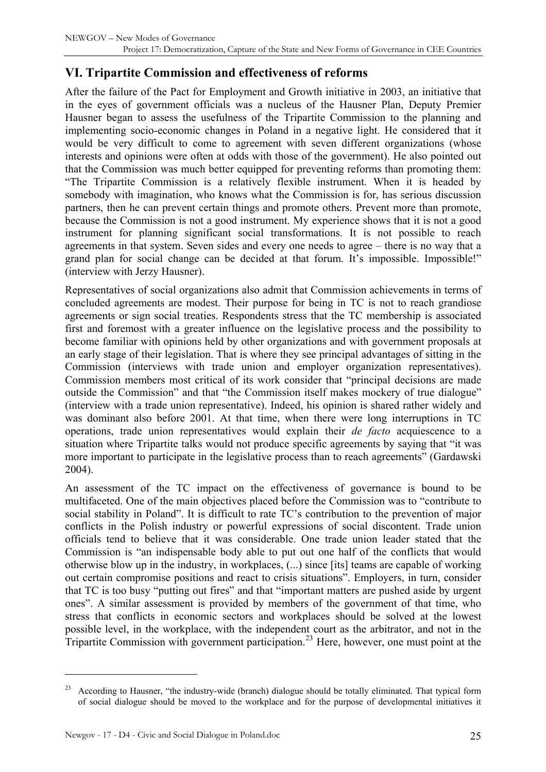# <span id="page-24-0"></span>**VI. Tripartite Commission and effectiveness of reforms**

After the failure of the Pact for Employment and Growth initiative in 2003, an initiative that in the eyes of government officials was a nucleus of the Hausner Plan, Deputy Premier Hausner began to assess the usefulness of the Tripartite Commission to the planning and implementing socio-economic changes in Poland in a negative light. He considered that it would be very difficult to come to agreement with seven different organizations (whose interests and opinions were often at odds with those of the government). He also pointed out that the Commission was much better equipped for preventing reforms than promoting them: "The Tripartite Commission is a relatively flexible instrument. When it is headed by somebody with imagination, who knows what the Commission is for, has serious discussion partners, then he can prevent certain things and promote others. Prevent more than promote, because the Commission is not a good instrument. My experience shows that it is not a good instrument for planning significant social transformations. It is not possible to reach agreements in that system. Seven sides and every one needs to agree – there is no way that a grand plan for social change can be decided at that forum. It's impossible. Impossible!" (interview with Jerzy Hausner).

Representatives of social organizations also admit that Commission achievements in terms of concluded agreements are modest. Their purpose for being in TC is not to reach grandiose agreements or sign social treaties. Respondents stress that the TC membership is associated first and foremost with a greater influence on the legislative process and the possibility to become familiar with opinions held by other organizations and with government proposals at an early stage of their legislation. That is where they see principal advantages of sitting in the Commission (interviews with trade union and employer organization representatives). Commission members most critical of its work consider that "principal decisions are made outside the Commission" and that "the Commission itself makes mockery of true dialogue" (interview with a trade union representative). Indeed, his opinion is shared rather widely and was dominant also before 2001. At that time, when there were long interruptions in TC operations, trade union representatives would explain their *de facto* acquiescence to a situation where Tripartite talks would not produce specific agreements by saying that "it was more important to participate in the legislative process than to reach agreements" (Gardawski 2004).

An assessment of the TC impact on the effectiveness of governance is bound to be multifaceted. One of the main objectives placed before the Commission was to "contribute to social stability in Poland". It is difficult to rate TC's contribution to the prevention of major conflicts in the Polish industry or powerful expressions of social discontent. Trade union officials tend to believe that it was considerable. One trade union leader stated that the Commission is "an indispensable body able to put out one half of the conflicts that would otherwise blow up in the industry, in workplaces, (...) since [its] teams are capable of working out certain compromise positions and react to crisis situations". Employers, in turn, consider that TC is too busy "putting out fires" and that "important matters are pushed aside by urgent ones". A similar assessment is provided by members of the government of that time, who stress that conflicts in economic sectors and workplaces should be solved at the lowest possible level, in the workplace, with the independent court as the arbitrator, and not in the Tripartite Commission with government participation.<sup>[23](#page-24-1)</sup> Here, however, one must point at the

<span id="page-24-1"></span><sup>&</sup>lt;sup>23</sup> According to Hausner, "the industry-wide (branch) dialogue should be totally eliminated. That typical form of social dialogue should be moved to the workplace and for the purpose of developmental initiatives it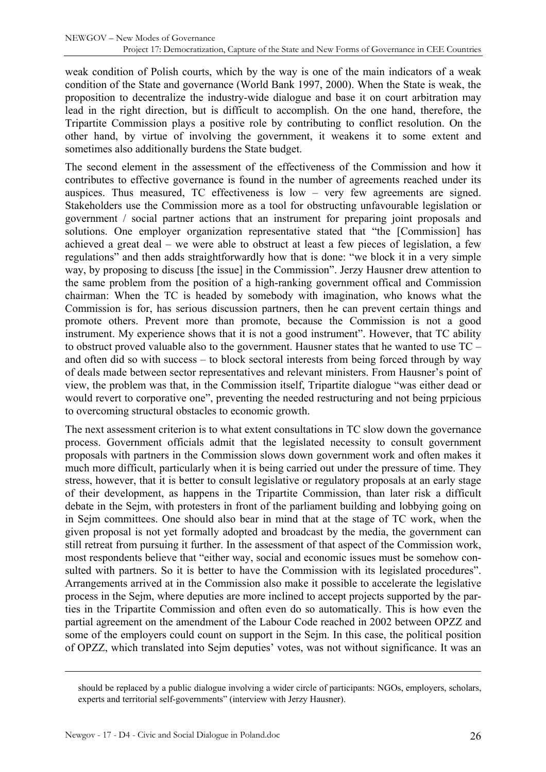weak condition of Polish courts, which by the way is one of the main indicators of a weak condition of the State and governance (World Bank 1997, 2000). When the State is weak, the proposition to decentralize the industry-wide dialogue and base it on court arbitration may lead in the right direction, but is difficult to accomplish. On the one hand, therefore, the Tripartite Commission plays a positive role by contributing to conflict resolution. On the other hand, by virtue of involving the government, it weakens it to some extent and sometimes also additionally burdens the State budget.

The second element in the assessment of the effectiveness of the Commission and how it contributes to effective governance is found in the number of agreements reached under its auspices. Thus measured, TC effectiveness is low – very few agreements are signed. Stakeholders use the Commission more as a tool for obstructing unfavourable legislation or government / social partner actions that an instrument for preparing joint proposals and solutions. One employer organization representative stated that "the [Commission] has achieved a great deal – we were able to obstruct at least a few pieces of legislation, a few regulations" and then adds straightforwardly how that is done: "we block it in a very simple way, by proposing to discuss [the issue] in the Commission". Jerzy Hausner drew attention to the same problem from the position of a high-ranking government offical and Commission chairman: When the TC is headed by somebody with imagination, who knows what the Commission is for, has serious discussion partners, then he can prevent certain things and promote others. Prevent more than promote, because the Commission is not a good instrument. My experience shows that it is not a good instrument". However, that TC ability to obstruct proved valuable also to the government. Hausner states that he wanted to use  $TC$ and often did so with success – to block sectoral interests from being forced through by way of deals made between sector representatives and relevant ministers. From Hausner's point of view, the problem was that, in the Commission itself, Tripartite dialogue "was either dead or would revert to corporative one", preventing the needed restructuring and not being prpicious to overcoming structural obstacles to economic growth.

The next assessment criterion is to what extent consultations in TC slow down the governance process. Government officials admit that the legislated necessity to consult government proposals with partners in the Commission slows down government work and often makes it much more difficult, particularly when it is being carried out under the pressure of time. They stress, however, that it is better to consult legislative or regulatory proposals at an early stage of their development, as happens in the Tripartite Commission, than later risk a difficult debate in the Sejm, with protesters in front of the parliament building and lobbying going on in Sejm committees. One should also bear in mind that at the stage of TC work, when the given proposal is not yet formally adopted and broadcast by the media, the government can still retreat from pursuing it further. In the assessment of that aspect of the Commission work, most respondents believe that "either way, social and economic issues must be somehow consulted with partners. So it is better to have the Commission with its legislated procedures". Arrangements arrived at in the Commission also make it possible to accelerate the legislative process in the Sejm, where deputies are more inclined to accept projects supported by the parties in the Tripartite Commission and often even do so automatically. This is how even the partial agreement on the amendment of the Labour Code reached in 2002 between OPZZ and some of the employers could count on support in the Sejm. In this case, the political position of OPZZ, which translated into Sejm deputies' votes, was not without significance. It was an

should be replaced by a public dialogue involving a wider circle of participants: NGOs, employers, scholars, experts and territorial self-governments" (interview with Jerzy Hausner).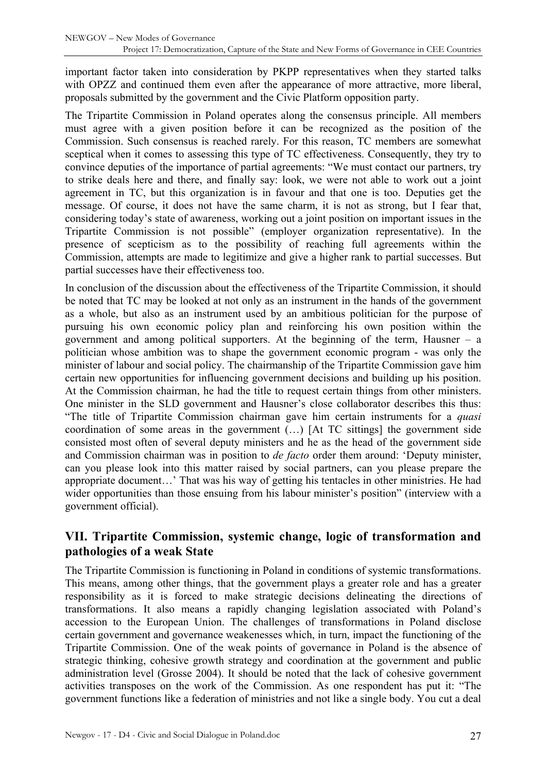<span id="page-26-0"></span>important factor taken into consideration by PKPP representatives when they started talks with OPZZ and continued them even after the appearance of more attractive, more liberal, proposals submitted by the government and the Civic Platform opposition party.

The Tripartite Commission in Poland operates along the consensus principle. All members must agree with a given position before it can be recognized as the position of the Commission. Such consensus is reached rarely. For this reason, TC members are somewhat sceptical when it comes to assessing this type of TC effectiveness. Consequently, they try to convince deputies of the importance of partial agreements: "We must contact our partners, try to strike deals here and there, and finally say: look, we were not able to work out a joint agreement in TC, but this organization is in favour and that one is too. Deputies get the message. Of course, it does not have the same charm, it is not as strong, but I fear that, considering today's state of awareness, working out a joint position on important issues in the Tripartite Commission is not possible" (employer organization representative). In the presence of scepticism as to the possibility of reaching full agreements within the Commission, attempts are made to legitimize and give a higher rank to partial successes. But partial successes have their effectiveness too.

In conclusion of the discussion about the effectiveness of the Tripartite Commission, it should be noted that TC may be looked at not only as an instrument in the hands of the government as a whole, but also as an instrument used by an ambitious politician for the purpose of pursuing his own economic policy plan and reinforcing his own position within the government and among political supporters. At the beginning of the term, Hausner – a politician whose ambition was to shape the government economic program - was only the minister of labour and social policy. The chairmanship of the Tripartite Commission gave him certain new opportunities for influencing government decisions and building up his position. At the Commission chairman, he had the title to request certain things from other ministers. One minister in the SLD government and Hausner's close collaborator describes this thus: "The title of Tripartite Commission chairman gave him certain instruments for a *quasi*  coordination of some areas in the government (…) [At TC sittings] the government side consisted most often of several deputy ministers and he as the head of the government side and Commission chairman was in position to *de facto* order them around: 'Deputy minister, can you please look into this matter raised by social partners, can you please prepare the appropriate document…' That was his way of getting his tentacles in other ministries. He had wider opportunities than those ensuing from his labour minister's position" (interview with a government official).

### **VII. Tripartite Commission, systemic change, logic of transformation and pathologies of a weak State**

The Tripartite Commission is functioning in Poland in conditions of systemic transformations. This means, among other things, that the government plays a greater role and has a greater responsibility as it is forced to make strategic decisions delineating the directions of transformations. It also means a rapidly changing legislation associated with Poland's accession to the European Union. The challenges of transformations in Poland disclose certain government and governance weakenesses which, in turn, impact the functioning of the Tripartite Commission. One of the weak points of governance in Poland is the absence of strategic thinking, cohesive growth strategy and coordination at the government and public administration level (Grosse 2004). It should be noted that the lack of cohesive government activities transposes on the work of the Commission. As one respondent has put it: "The government functions like a federation of ministries and not like a single body. You cut a deal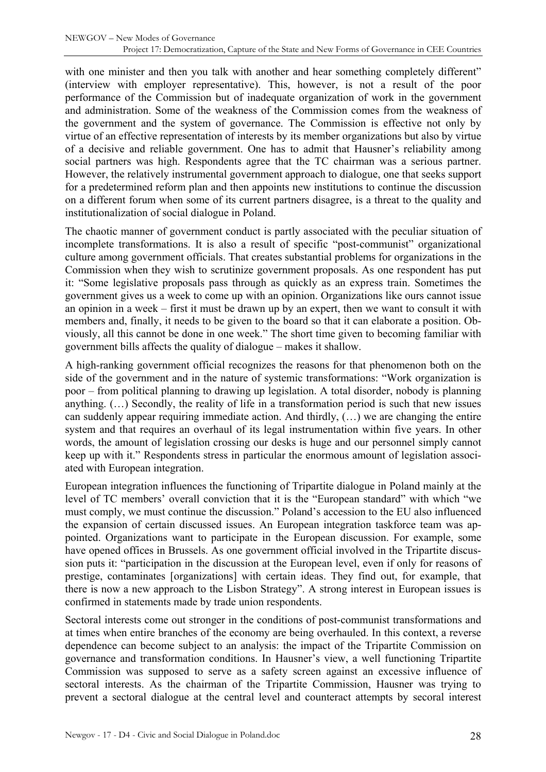with one minister and then you talk with another and hear something completely different" (interview with employer representative). This, however, is not a result of the poor performance of the Commission but of inadequate organization of work in the government and administration. Some of the weakness of the Commission comes from the weakness of the government and the system of governance. The Commission is effective not only by virtue of an effective representation of interests by its member organizations but also by virtue of a decisive and reliable government. One has to admit that Hausner's reliability among social partners was high. Respondents agree that the TC chairman was a serious partner. However, the relatively instrumental government approach to dialogue, one that seeks support for a predetermined reform plan and then appoints new institutions to continue the discussion on a different forum when some of its current partners disagree, is a threat to the quality and institutionalization of social dialogue in Poland.

The chaotic manner of government conduct is partly associated with the peculiar situation of incomplete transformations. It is also a result of specific "post-communist" organizational culture among government officials. That creates substantial problems for organizations in the Commission when they wish to scrutinize government proposals. As one respondent has put it: "Some legislative proposals pass through as quickly as an express train. Sometimes the government gives us a week to come up with an opinion. Organizations like ours cannot issue an opinion in a week – first it must be drawn up by an expert, then we want to consult it with members and, finally, it needs to be given to the board so that it can elaborate a position. Obviously, all this cannot be done in one week." The short time given to becoming familiar with government bills affects the quality of dialogue – makes it shallow.

A high-ranking government official recognizes the reasons for that phenomenon both on the side of the government and in the nature of systemic transformations: "Work organization is poor – from political planning to drawing up legislation. A total disorder, nobody is planning anything. (…) Secondly, the reality of life in a transformation period is such that new issues can suddenly appear requiring immediate action. And thirdly, (…) we are changing the entire system and that requires an overhaul of its legal instrumentation within five years. In other words, the amount of legislation crossing our desks is huge and our personnel simply cannot keep up with it." Respondents stress in particular the enormous amount of legislation associated with European integration.

European integration influences the functioning of Tripartite dialogue in Poland mainly at the level of TC members' overall conviction that it is the "European standard" with which "we must comply, we must continue the discussion." Poland's accession to the EU also influenced the expansion of certain discussed issues. An European integration taskforce team was appointed. Organizations want to participate in the European discussion. For example, some have opened offices in Brussels. As one government official involved in the Tripartite discussion puts it: "participation in the discussion at the European level, even if only for reasons of prestige, contaminates [organizations] with certain ideas. They find out, for example, that there is now a new approach to the Lisbon Strategy". A strong interest in European issues is confirmed in statements made by trade union respondents.

Sectoral interests come out stronger in the conditions of post-communist transformations and at times when entire branches of the economy are being overhauled. In this context, a reverse dependence can become subject to an analysis: the impact of the Tripartite Commission on governance and transformation conditions. In Hausner's view, a well functioning Tripartite Commission was supposed to serve as a safety screen against an excessive influence of sectoral interests. As the chairman of the Tripartite Commission, Hausner was trying to prevent a sectoral dialogue at the central level and counteract attempts by secoral interest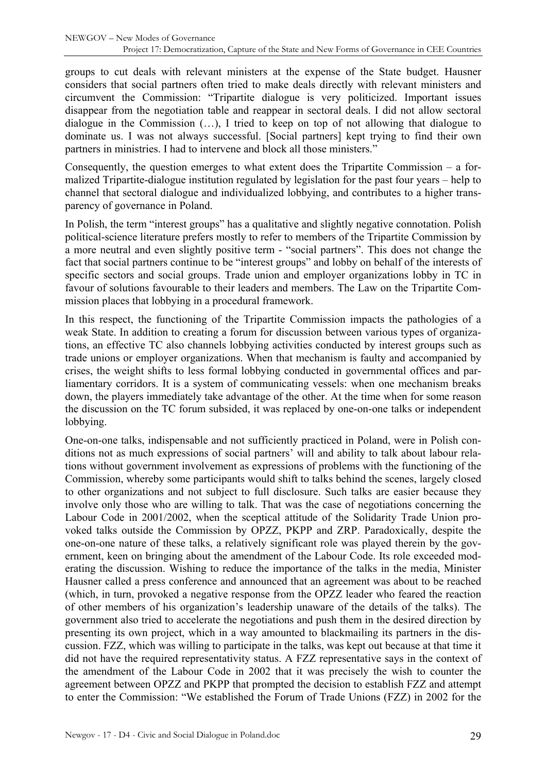groups to cut deals with relevant ministers at the expense of the State budget. Hausner considers that social partners often tried to make deals directly with relevant ministers and circumvent the Commission: "Tripartite dialogue is very politicized. Important issues disappear from the negotiation table and reappear in sectoral deals. I did not allow sectoral dialogue in the Commission (…), I tried to keep on top of not allowing that dialogue to dominate us. I was not always successful. [Social partners] kept trying to find their own partners in ministries. I had to intervene and block all those ministers."

Consequently, the question emerges to what extent does the Tripartite Commission – a formalized Tripartite-dialogue institution regulated by legislation for the past four years – help to channel that sectoral dialogue and individualized lobbying, and contributes to a higher transparency of governance in Poland.

In Polish, the term "interest groups" has a qualitative and slightly negative connotation. Polish political-science literature prefers mostly to refer to members of the Tripartite Commission by a more neutral and even slightly positive term - "social partners". This does not change the fact that social partners continue to be "interest groups" and lobby on behalf of the interests of specific sectors and social groups. Trade union and employer organizations lobby in TC in favour of solutions favourable to their leaders and members. The Law on the Tripartite Commission places that lobbying in a procedural framework.

In this respect, the functioning of the Tripartite Commission impacts the pathologies of a weak State. In addition to creating a forum for discussion between various types of organizations, an effective TC also channels lobbying activities conducted by interest groups such as trade unions or employer organizations. When that mechanism is faulty and accompanied by crises, the weight shifts to less formal lobbying conducted in governmental offices and parliamentary corridors. It is a system of communicating vessels: when one mechanism breaks down, the players immediately take advantage of the other. At the time when for some reason the discussion on the TC forum subsided, it was replaced by one-on-one talks or independent lobbying.

One-on-one talks, indispensable and not sufficiently practiced in Poland, were in Polish conditions not as much expressions of social partners' will and ability to talk about labour relations without government involvement as expressions of problems with the functioning of the Commission, whereby some participants would shift to talks behind the scenes, largely closed to other organizations and not subject to full disclosure. Such talks are easier because they involve only those who are willing to talk. That was the case of negotiations concerning the Labour Code in 2001/2002, when the sceptical attitude of the Solidarity Trade Union provoked talks outside the Commission by OPZZ, PKPP and ZRP. Paradoxically, despite the one-on-one nature of these talks, a relatively significant role was played therein by the government, keen on bringing about the amendment of the Labour Code. Its role exceeded moderating the discussion. Wishing to reduce the importance of the talks in the media, Minister Hausner called a press conference and announced that an agreement was about to be reached (which, in turn, provoked a negative response from the OPZZ leader who feared the reaction of other members of his organization's leadership unaware of the details of the talks). The government also tried to accelerate the negotiations and push them in the desired direction by presenting its own project, which in a way amounted to blackmailing its partners in the discussion. FZZ, which was willing to participate in the talks, was kept out because at that time it did not have the required representativity status. A FZZ representative says in the context of the amendment of the Labour Code in 2002 that it was precisely the wish to counter the agreement between OPZZ and PKPP that prompted the decision to establish FZZ and attempt to enter the Commission: "We established the Forum of Trade Unions (FZZ) in 2002 for the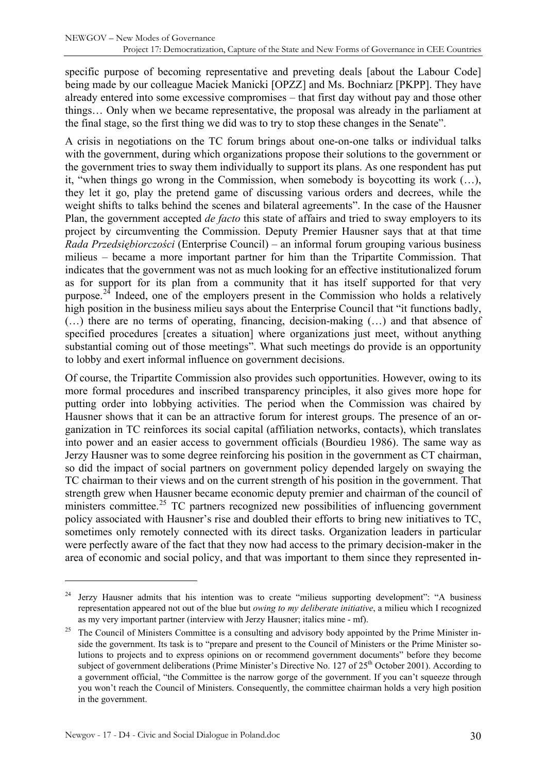specific purpose of becoming representative and preveting deals [about the Labour Code] being made by our colleague Maciek Manicki [OPZZ] and Ms. Bochniarz [PKPP]. They have already entered into some excessive compromises – that first day without pay and those other things… Only when we became representative, the proposal was already in the parliament at the final stage, so the first thing we did was to try to stop these changes in the Senate".

A crisis in negotiations on the TC forum brings about one-on-one talks or individual talks with the government, during which organizations propose their solutions to the government or the government tries to sway them individually to support its plans. As one respondent has put it, "when things go wrong in the Commission, when somebody is boycotting its work (…), they let it go, play the pretend game of discussing various orders and decrees, while the weight shifts to talks behind the scenes and bilateral agreements". In the case of the Hausner Plan, the government accepted *de facto* this state of affairs and tried to sway employers to its project by circumventing the Commission. Deputy Premier Hausner says that at that time *Rada Przedsiębiorczości* (Enterprise Council) – an informal forum grouping various business milieus – became a more important partner for him than the Tripartite Commission. That indicates that the government was not as much looking for an effective institutionalized forum as for support for its plan from a community that it has itself supported for that very purpose.<sup>[24](#page-29-0)</sup> Indeed, one of the employers present in the Commission who holds a relatively high position in the business milieu says about the Enterprise Council that "it functions badly, (…) there are no terms of operating, financing, decision-making (…) and that absence of specified procedures [creates a situation] where organizations just meet, without anything substantial coming out of those meetings". What such meetings do provide is an opportunity to lobby and exert informal influence on government decisions.

Of course, the Tripartite Commission also provides such opportunities. However, owing to its more formal procedures and inscribed transparency principles, it also gives more hope for putting order into lobbying activities. The period when the Commission was chaired by Hausner shows that it can be an attractive forum for interest groups. The presence of an organization in TC reinforces its social capital (affiliation networks, contacts), which translates into power and an easier access to government officials (Bourdieu 1986). The same way as Jerzy Hausner was to some degree reinforcing his position in the government as CT chairman, so did the impact of social partners on government policy depended largely on swaying the TC chairman to their views and on the current strength of his position in the government. That strength grew when Hausner became economic deputy premier and chairman of the council of ministers committee.<sup>[25](#page-29-1)</sup> TC partners recognized new possibilities of influencing government policy associated with Hausner's rise and doubled their efforts to bring new initiatives to TC, sometimes only remotely connected with its direct tasks. Organization leaders in particular were perfectly aware of the fact that they now had access to the primary decision-maker in the area of economic and social policy, and that was important to them since they represented in-

<span id="page-29-0"></span><sup>&</sup>lt;sup>24</sup> Jerzy Hausner admits that his intention was to create "milieus supporting development": "A business representation appeared not out of the blue but *owing to my deliberate initiative*, a milieu which I recognized as my very important partner (interview with Jerzy Hausner; italics mine - mf).

<span id="page-29-1"></span><sup>25</sup> The Council of Ministers Committee is a consulting and advisory body appointed by the Prime Minister inside the government. Its task is to "prepare and present to the Council of Ministers or the Prime Minister solutions to projects and to express opinions on or recommend government documents" before they become subject of government deliberations (Prime Minister's Directive No. 127 of 25<sup>th</sup> October 2001). According to a government official, "the Committee is the narrow gorge of the government. If you can't squeeze through you won't reach the Council of Ministers. Consequently, the committee chairman holds a very high position in the government.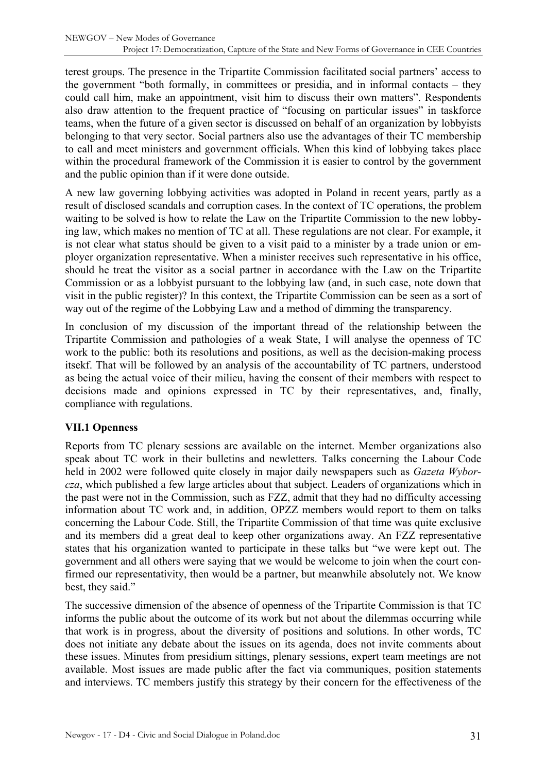<span id="page-30-0"></span>terest groups. The presence in the Tripartite Commission facilitated social partners' access to the government "both formally, in committees or presidia, and in informal contacts – they could call him, make an appointment, visit him to discuss their own matters". Respondents also draw attention to the frequent practice of "focusing on particular issues" in taskforce teams, when the future of a given sector is discussed on behalf of an organization by lobbyists belonging to that very sector. Social partners also use the advantages of their TC membership to call and meet ministers and government officials. When this kind of lobbying takes place within the procedural framework of the Commission it is easier to control by the government and the public opinion than if it were done outside.

A new law governing lobbying activities was adopted in Poland in recent years, partly as a result of disclosed scandals and corruption cases. In the context of TC operations, the problem waiting to be solved is how to relate the Law on the Tripartite Commission to the new lobbying law, which makes no mention of TC at all. These regulations are not clear. For example, it is not clear what status should be given to a visit paid to a minister by a trade union or employer organization representative. When a minister receives such representative in his office, should he treat the visitor as a social partner in accordance with the Law on the Tripartite Commission or as a lobbyist pursuant to the lobbying law (and, in such case, note down that visit in the public register)? In this context, the Tripartite Commission can be seen as a sort of way out of the regime of the Lobbying Law and a method of dimming the transparency.

In conclusion of my discussion of the important thread of the relationship between the Tripartite Commission and pathologies of a weak State, I will analyse the openness of TC work to the public: both its resolutions and positions, as well as the decision-making process itsekf. That will be followed by an analysis of the accountability of TC partners, understood as being the actual voice of their milieu, having the consent of their members with respect to decisions made and opinions expressed in TC by their representatives, and, finally, compliance with regulations.

#### **VII.1 Openness**

Reports from TC plenary sessions are available on the internet. Member organizations also speak about TC work in their bulletins and newletters. Talks concerning the Labour Code held in 2002 were followed quite closely in major daily newspapers such as *Gazeta Wyborcza*, which published a few large articles about that subject. Leaders of organizations which in the past were not in the Commission, such as FZZ, admit that they had no difficulty accessing information about TC work and, in addition, OPZZ members would report to them on talks concerning the Labour Code. Still, the Tripartite Commission of that time was quite exclusive and its members did a great deal to keep other organizations away. An FZZ representative states that his organization wanted to participate in these talks but "we were kept out. The government and all others were saying that we would be welcome to join when the court confirmed our representativity, then would be a partner, but meanwhile absolutely not. We know best, they said."

The successive dimension of the absence of openness of the Tripartite Commission is that TC informs the public about the outcome of its work but not about the dilemmas occurring while that work is in progress, about the diversity of positions and solutions. In other words, TC does not initiate any debate about the issues on its agenda, does not invite comments about these issues. Minutes from presidium sittings, plenary sessions, expert team meetings are not available. Most issues are made public after the fact via communiques, position statements and interviews. TC members justify this strategy by their concern for the effectiveness of the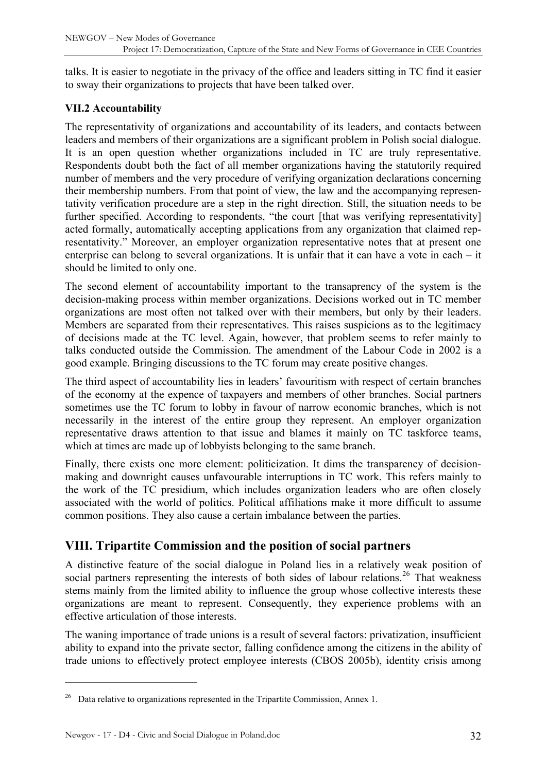<span id="page-31-0"></span>talks. It is easier to negotiate in the privacy of the office and leaders sitting in TC find it easier to sway their organizations to projects that have been talked over.

### **VII.2 Accountability**

The representativity of organizations and accountability of its leaders, and contacts between leaders and members of their organizations are a significant problem in Polish social dialogue. It is an open question whether organizations included in TC are truly representative. Respondents doubt both the fact of all member organizations having the statutorily required number of members and the very procedure of verifying organization declarations concerning their membership numbers. From that point of view, the law and the accompanying representativity verification procedure are a step in the right direction. Still, the situation needs to be further specified. According to respondents, "the court [that was verifying representativity] acted formally, automatically accepting applications from any organization that claimed representativity." Moreover, an employer organization representative notes that at present one enterprise can belong to several organizations. It is unfair that it can have a vote in each – it should be limited to only one.

The second element of accountability important to the transaprency of the system is the decision-making process within member organizations. Decisions worked out in TC member organizations are most often not talked over with their members, but only by their leaders. Members are separated from their representatives. This raises suspicions as to the legitimacy of decisions made at the TC level. Again, however, that problem seems to refer mainly to talks conducted outside the Commission. The amendment of the Labour Code in 2002 is a good example. Bringing discussions to the TC forum may create positive changes.

The third aspect of accountability lies in leaders' favouritism with respect of certain branches of the economy at the expence of taxpayers and members of other branches. Social partners sometimes use the TC forum to lobby in favour of narrow economic branches, which is not necessarily in the interest of the entire group they represent. An employer organization representative draws attention to that issue and blames it mainly on TC taskforce teams, which at times are made up of lobbyists belonging to the same branch.

Finally, there exists one more element: politicization. It dims the transparency of decisionmaking and downright causes unfavourable interruptions in TC work. This refers mainly to the work of the TC presidium, which includes organization leaders who are often closely associated with the world of politics. Political affiliations make it more difficult to assume common positions. They also cause a certain imbalance between the parties.

## **VIII. Tripartite Commission and the position of social partners**

A distinctive feature of the social dialogue in Poland lies in a relatively weak position of social partners representing the interests of both sides of labour relations.<sup>[26](#page-31-1)</sup> That weakness stems mainly from the limited ability to influence the group whose collective interests these organizations are meant to represent. Consequently, they experience problems with an effective articulation of those interests.

The waning importance of trade unions is a result of several factors: privatization, insufficient ability to expand into the private sector, falling confidence among the citizens in the ability of trade unions to effectively protect employee interests (CBOS 2005b), identity crisis among

<span id="page-31-1"></span><sup>&</sup>lt;sup>26</sup> Data relative to organizations represented in the Tripartite Commission, Annex 1.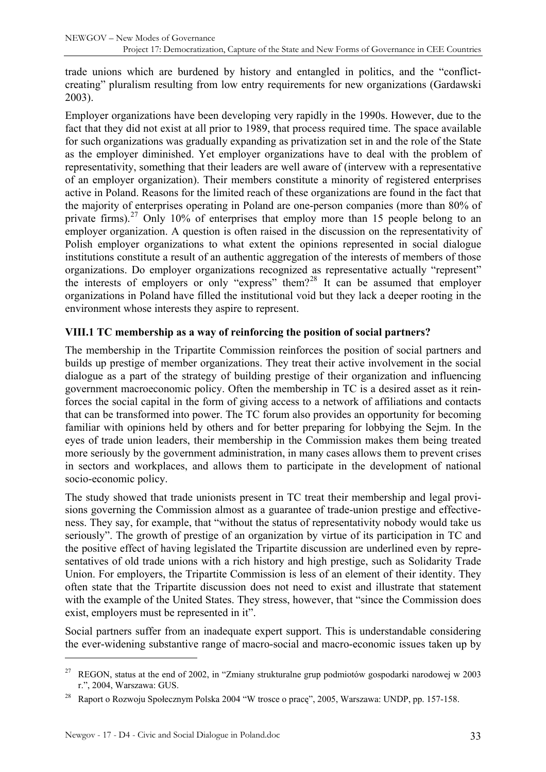<span id="page-32-0"></span>trade unions which are burdened by history and entangled in politics, and the "conflictcreating" pluralism resulting from low entry requirements for new organizations (Gardawski 2003).

Employer organizations have been developing very rapidly in the 1990s. However, due to the fact that they did not exist at all prior to 1989, that process required time. The space available for such organizations was gradually expanding as privatization set in and the role of the State as the employer diminished. Yet employer organizations have to deal with the problem of representativity, something that their leaders are well aware of (intervew with a representative of an employer organization). Their members constitute a minority of registered enterprises active in Poland. Reasons for the limited reach of these organizations are found in the fact that the majority of enterprises operating in Poland are one-person companies (more than 80% of private firms).<sup>[27](#page-32-1)</sup> Only 10% of enterprises that employ more than 15 people belong to an employer organization. A question is often raised in the discussion on the representativity of Polish employer organizations to what extent the opinions represented in social dialogue institutions constitute a result of an authentic aggregation of the interests of members of those organizations. Do employer organizations recognized as representative actually "represent" the interests of employers or only "express" them?[28](#page-32-2) It can be assumed that employer organizations in Poland have filled the institutional void but they lack a deeper rooting in the environment whose interests they aspire to represent.

### **VIII.1 TC membership as a way of reinforcing the position of social partners?**

The membership in the Tripartite Commission reinforces the position of social partners and builds up prestige of member organizations. They treat their active involvement in the social dialogue as a part of the strategy of building prestige of their organization and influencing government macroeconomic policy. Often the membership in TC is a desired asset as it reinforces the social capital in the form of giving access to a network of affiliations and contacts that can be transformed into power. The TC forum also provides an opportunity for becoming familiar with opinions held by others and for better preparing for lobbying the Sejm. In the eyes of trade union leaders, their membership in the Commission makes them being treated more seriously by the government administration, in many cases allows them to prevent crises in sectors and workplaces, and allows them to participate in the development of national socio-economic policy.

The study showed that trade unionists present in TC treat their membership and legal provisions governing the Commission almost as a guarantee of trade-union prestige and effectiveness. They say, for example, that "without the status of representativity nobody would take us seriously". The growth of prestige of an organization by virtue of its participation in TC and the positive effect of having legislated the Tripartite discussion are underlined even by representatives of old trade unions with a rich history and high prestige, such as Solidarity Trade Union. For employers, the Tripartite Commission is less of an element of their identity. They often state that the Tripartite discussion does not need to exist and illustrate that statement with the example of the United States. They stress, however, that "since the Commission does exist, employers must be represented in it".

Social partners suffer from an inadequate expert support. This is understandable considering the ever-widening substantive range of macro-social and macro-economic issues taken up by

<span id="page-32-1"></span><sup>27</sup> REGON, status at the end of 2002, in "Zmiany strukturalne grup podmiotów gospodarki narodowej w 2003 r.", 2004, Warszawa: GUS.

<span id="page-32-2"></span><sup>28</sup> Raport o Rozwoju Społecznym Polska 2004 "W trosce o pracę", 2005, Warszawa: UNDP, pp. 157-158.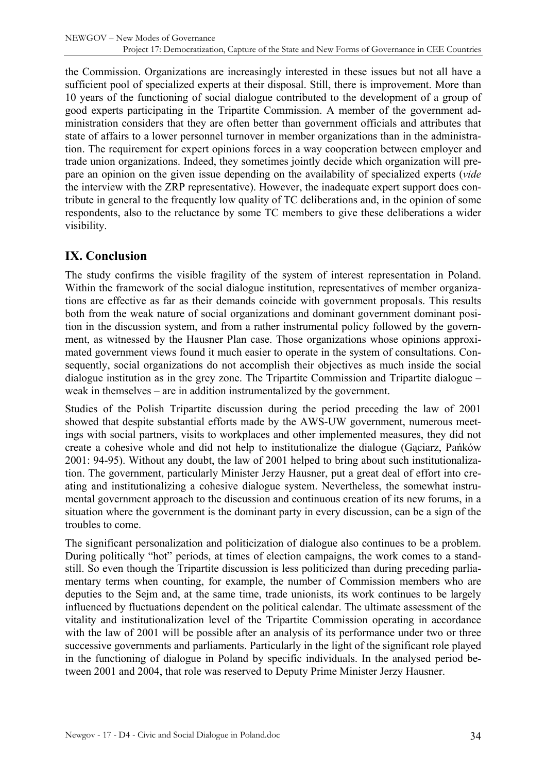<span id="page-33-0"></span>the Commission. Organizations are increasingly interested in these issues but not all have a sufficient pool of specialized experts at their disposal. Still, there is improvement. More than 10 years of the functioning of social dialogue contributed to the development of a group of good experts participating in the Tripartite Commission. A member of the government administration considers that they are often better than government officials and attributes that state of affairs to a lower personnel turnover in member organizations than in the administration. The requirement for expert opinions forces in a way cooperation between employer and trade union organizations. Indeed, they sometimes jointly decide which organization will prepare an opinion on the given issue depending on the availability of specialized experts (*vide*  the interview with the ZRP representative). However, the inadequate expert support does contribute in general to the frequently low quality of TC deliberations and, in the opinion of some respondents, also to the reluctance by some TC members to give these deliberations a wider visibility.

# **IX. Conclusion**

The study confirms the visible fragility of the system of interest representation in Poland. Within the framework of the social dialogue institution, representatives of member organizations are effective as far as their demands coincide with government proposals. This results both from the weak nature of social organizations and dominant government dominant position in the discussion system, and from a rather instrumental policy followed by the government, as witnessed by the Hausner Plan case. Those organizations whose opinions approximated government views found it much easier to operate in the system of consultations. Consequently, social organizations do not accomplish their objectives as much inside the social dialogue institution as in the grey zone. The Tripartite Commission and Tripartite dialogue – weak in themselves – are in addition instrumentalized by the government.

Studies of the Polish Tripartite discussion during the period preceding the law of 2001 showed that despite substantial efforts made by the AWS-UW government, numerous meetings with social partners, visits to workplaces and other implemented measures, they did not create a cohesive whole and did not help to institutionalize the dialogue (Gąciarz, Pańków 2001: 94-95). Without any doubt, the law of 2001 helped to bring about such institutionalization. The government, particularly Minister Jerzy Hausner, put a great deal of effort into creating and institutionalizing a cohesive dialogue system. Nevertheless, the somewhat instrumental government approach to the discussion and continuous creation of its new forums, in a situation where the government is the dominant party in every discussion, can be a sign of the troubles to come.

The significant personalization and politicization of dialogue also continues to be a problem. During politically "hot" periods, at times of election campaigns, the work comes to a standstill. So even though the Tripartite discussion is less politicized than during preceding parliamentary terms when counting, for example, the number of Commission members who are deputies to the Sejm and, at the same time, trade unionists, its work continues to be largely influenced by fluctuations dependent on the political calendar. The ultimate assessment of the vitality and institutionalization level of the Tripartite Commission operating in accordance with the law of 2001 will be possible after an analysis of its performance under two or three successive governments and parliaments. Particularly in the light of the significant role played in the functioning of dialogue in Poland by specific individuals. In the analysed period between 2001 and 2004, that role was reserved to Deputy Prime Minister Jerzy Hausner.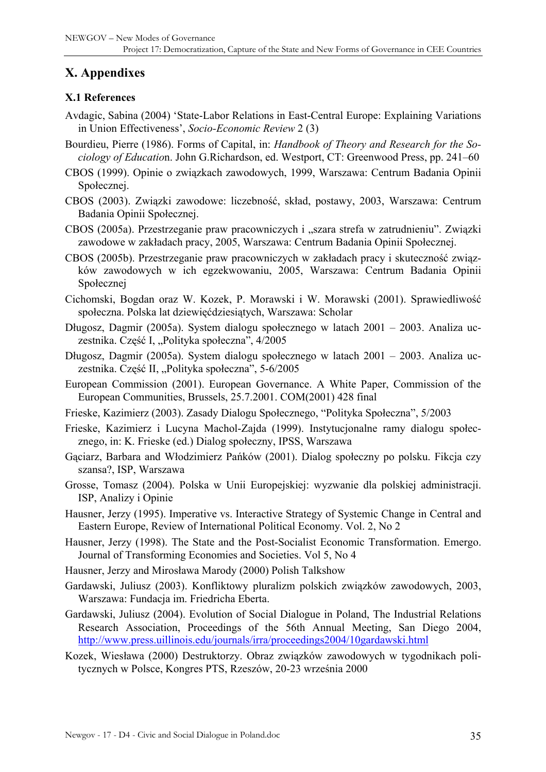# <span id="page-34-0"></span>**X. Appendixes**

### **X.1 References**

- Avdagic, Sabina (2004) 'State-Labor Relations in East-Central Europe: Explaining Variations in Union Effectiveness', *Socio-Economic Review* 2 (3)
- Bourdieu, Pierre (1986). Forms of Capital, in: *Handbook of Theory and Research for the Sociology of Educatio*n. John G.Richardson, ed. Westport, CT: Greenwood Press, pp. 241–60
- CBOS (1999). Opinie o związkach zawodowych, 1999, Warszawa: Centrum Badania Opinii Społecznej.
- CBOS (2003). Związki zawodowe: liczebność, skład, postawy, 2003, Warszawa: Centrum Badania Opinii Społecznej.
- CBOS (2005a). Przestrzeganie praw pracowniczych i "szara strefa w zatrudnieniu". Związki zawodowe w zakładach pracy, 2005, Warszawa: Centrum Badania Opinii Społecznej.
- CBOS (2005b). Przestrzeganie praw pracowniczych w zakładach pracy i skuteczność związków zawodowych w ich egzekwowaniu, 2005, Warszawa: Centrum Badania Opinii Społecznej
- Cichomski, Bogdan oraz W. Kozek, P. Morawski i W. Morawski (2001). Sprawiedliwość społeczna. Polska lat dziewięćdziesiątych, Warszawa: Scholar
- Długosz, Dagmir (2005a). System dialogu społecznego w latach 2001 2003. Analiza uczestnika. Część I, "Polityka społeczna", 4/2005
- Długosz, Dagmir (2005a). System dialogu społecznego w latach 2001 2003. Analiza uczestnika. Część II, "Polityka społeczna", 5-6/2005
- European Commission (2001). European Governance. A White Paper, Commission of the European Communities, Brussels, 25.7.2001. COM(2001) 428 final
- Frieske, Kazimierz (2003). Zasady Dialogu Społecznego, "Polityka Społeczna", 5/2003
- Frieske, Kazimierz i Lucyna Machol-Zajda (1999). Instytucjonalne ramy dialogu społecznego, in: K. Frieske (ed.) Dialog społeczny, IPSS, Warszawa
- Gąciarz, Barbara and Włodzimierz Pańków (2001). Dialog społeczny po polsku. Fikcja czy szansa?, ISP, Warszawa
- Grosse, Tomasz (2004). Polska w Unii Europejskiej: wyzwanie dla polskiej administracji. ISP, Analizy i Opinie
- Hausner, Jerzy (1995). Imperative vs. Interactive Strategy of Systemic Change in Central and Eastern Europe, Review of International Political Economy. Vol. 2, No 2
- Hausner, Jerzy (1998). The State and the Post-Socialist Economic Transformation. Emergo. Journal of Transforming Economies and Societies. Vol 5, No 4
- Hausner, Jerzy and Mirosława Marody (2000) Polish Talkshow
- Gardawski, Juliusz (2003). Konfliktowy pluralizm polskich związków zawodowych, 2003, Warszawa: Fundacja im. Friedricha Eberta.
- Gardawski, Juliusz (2004). Evolution of Social Dialogue in Poland, The Industrial Relations Research Association, Proceedings of the 56th Annual Meeting, San Diego 2004, <http://www.press.uillinois.edu/journals/irra/proceedings2004/10gardawski.html>
- Kozek, Wiesława (2000) Destruktorzy. Obraz związków zawodowych w tygodnikach politycznych w Polsce, Kongres PTS, Rzeszów, 20-23 września 2000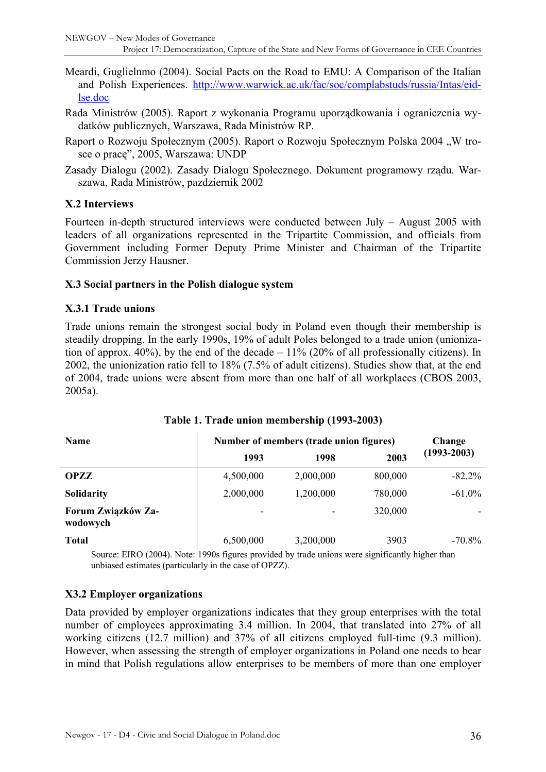- <span id="page-35-0"></span>Meardi, Guglielnmo (2004). Social Pacts on the Road to EMU: A Comparison of the Italian and Polish Experiences. [http://www.warwick.ac.uk/fac/soc/complabstuds/russia/Intas/eid](http://www.warwick.ac.uk/fac/soc/complabstuds/russia/Intas/eid-lse.doc)[lse.doc](http://www.warwick.ac.uk/fac/soc/complabstuds/russia/Intas/eid-lse.doc)
- Rada Ministrów (2005). Raport z wykonania Programu uporządkowania i ograniczenia wydatków publicznych, Warszawa, Rada Ministrów RP.
- Raport o Rozwoju Społecznym (2005). Raport o Rozwoju Społecznym Polska 2004 "W trosce o pracę", 2005, Warszawa: UNDP
- Zasady Dialogu (2002). Zasady Dialogu Społecznego. Dokument programowy rządu. Warszawa, Rada Ministrów, pazdziernik 2002

#### **X.2 Interviews**

Fourteen in-depth structured interviews were conducted between July – August 2005 with leaders of all organizations represented in the Tripartite Commission, and officials from Government including Former Deputy Prime Minister and Chairman of the Tripartite Commission Jerzy Hausner.

#### **X.3 Social partners in the Polish dialogue system**

#### **X.3.1 Trade unions**

Trade unions remain the strongest social body in Poland even though their membership is steadily dropping. In the early 1990s, 19% of adult Poles belonged to a trade union (unionization of approx. 40%), by the end of the decade  $-11\%$  (20% of all professionally citizens). In 2002, the unionization ratio fell to 18% (7.5% of adult citizens). Studies show that, at the end of 2004, trade unions were absent from more than one half of all workplaces (CBOS 2003, 2005a).

| <b>Name</b>                    | Number of members (trade union figures) |           |         | Change          |
|--------------------------------|-----------------------------------------|-----------|---------|-----------------|
|                                | 1993                                    | 1998      | 2003    | $(1993 - 2003)$ |
| <b>OPZZ</b>                    | 4,500,000                               | 2,000,000 | 800,000 | $-82.2\%$       |
| <b>Solidarity</b>              | 2,000,000                               | 1,200,000 | 780,000 | $-61.0\%$       |
| Forum Związków Za-<br>wodowych | ۰                                       |           | 320,000 |                 |
| <b>Total</b>                   | 6,500,000                               | 3,200,000 | 3903    | $-70.8\%$       |

#### **Table 1. Trade union membership (1993-2003)**

Source: EIRO (2004). Note: 1990s figures provided by trade unions were significantly higher than unbiased estimates (particularly in the case of OPZZ).

#### **X3.2 Employer organizations**

Data provided by employer organizations indicates that they group enterprises with the total number of employees approximating 3.4 million. In 2004, that translated into 27% of all working citizens (12.7 million) and 37% of all citizens employed full-time (9.3 million). However, when assessing the strength of employer organizations in Poland one needs to bear in mind that Polish regulations allow enterprises to be members of more than one employer